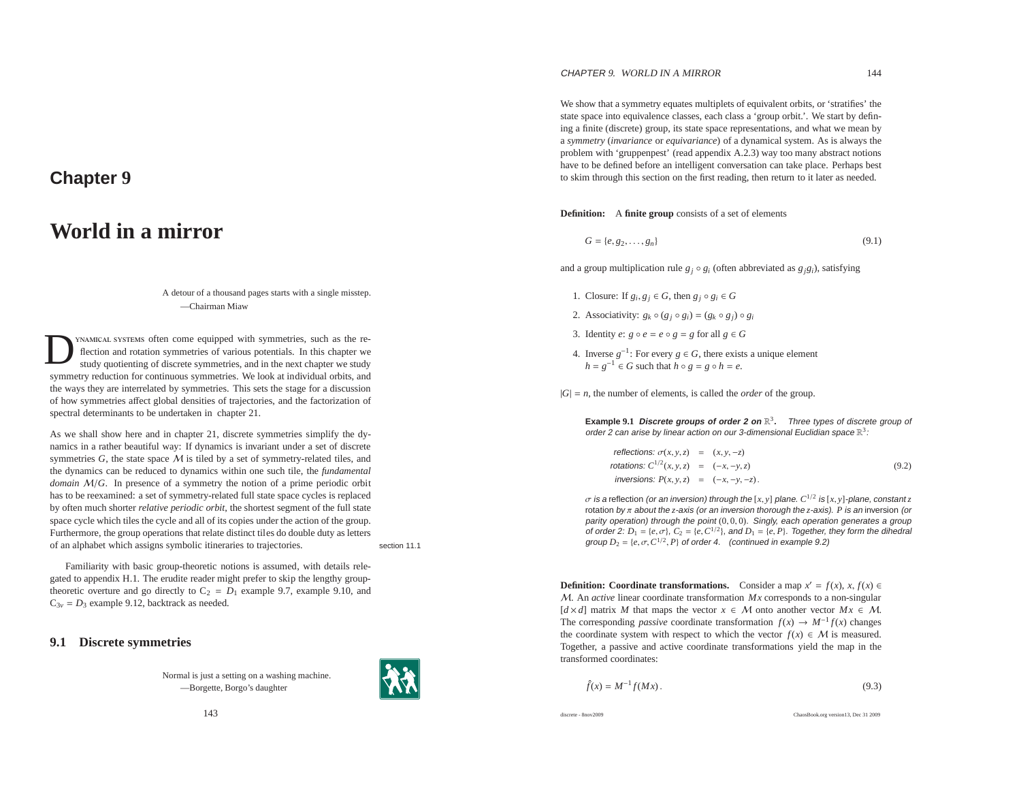# **Chapter <sup>9</sup>**

# **World in <sup>a</sup> mirror**

A detour of <sup>a</sup> thousand pages starts with <sup>a</sup> single misstep. —Chairman Miaw

YNAMICAL SYSTEMS often come equipped with symmetries, such as the re-<br>flection and rotation symmetries of various potentials. In this chapter we<br>study quotienting of discrete symmetries, and in the next chapter we study symmetry reduction for continuous symmetries. We look at individual orbits, and the ways they are interrelated by symmetries. This sets the stage for <sup>a</sup> discussion of how symmetries <sup>a</sup>ffect global densities of trajectories, and the factorization ofspectral determinants to be undertaken in chapter 21.

As we shall show here and in chapter 21, discrete symmetries simplify the dynamics in <sup>a</sup> rather beautiful way: If dynamics is invariant under <sup>a</sup> set of discretesymmetries  $G$ , the state space  $M$  is tiled by a set of symmetry-related tiles, and<br>the dynamics can be reduced to dynamics within one such tile, the fundamental the dynamics can be reduced to dynamics within one such tile, the *fundamental domain* <sup>M</sup>/*G*. In presence of <sup>a</sup> symmetry the notion of <sup>a</sup> prime periodic orbit has to be reexamined: <sup>a</sup> set of symmetry-related full state space cycles is replaced by often much shorter *relative periodic orbit*, the shortest segmen<sup>t</sup> of the full state space cycle which tiles the cycle and all of its copies under the action of the group. Furthermore, the group operations that relate distinct tiles do double duty as lettersof an alphabet which assigns symbolic itineraries to trajectories. section 11.1

Familiarity with basic group-theoretic notions is assumed, with details relegated to appendix H.1. The erudite reader might prefer to skip the lengthy grouptheoretic overture and go directly to  $C_2 = D_1$  example 9.7, example 9.10, and  $C_{3v} = D_3$  example 9.12, backtrack as needed.

# **9.1 Discrete symmetries**

Normal is just <sup>a</sup> setting on <sup>a</sup> washing machine. —Borgette, Borgo's daughter





We show that <sup>a</sup> symmetry equates multiplets of equivalent orbits, or 'stratifies' the state space into equivalence classes, each class <sup>a</sup> 'group orbit.'. We start by defining <sup>a</sup> finite (discrete) group, its state space representations, and what we mean by a *symmetry* (*invariance* or *equivariance*) of <sup>a</sup> dynamical system. As is always the problem with 'gruppenpest' (read appendix A.2.3) way too many abstract notions have to be defined before an intelligent conversation can take place. Perhaps bestto skim through this section on the first reading, then return to it later as needed.

**Definition:** <sup>A</sup> **finite group** consists of <sup>a</sup> set of elements

$$
G = \{e, g_2, \dots, g_n\} \tag{9.1}
$$

and <sup>a</sup> group multiplication rule *gj* ◦ *<sup>g</sup><sup>i</sup>* (often abbreviated as *<sup>g</sup>jgi*), satisfying

1. Closure: If  $g_i, g_j \in G$ , then  $g_j \circ g_i \in G$ 

*G*

- 2. Associativity:  $g_k \circ (g_j \circ g_i) = (g_k \circ g_j) \circ g_i$
- 3. Identity  $e: g \circ e = e \circ g = g$  for all  $g \in G$
- 4. Inverse  $g^{-1}$ : For every  $g \in G$ , there exists a unique element *h* =  $g^{-1}$  ∈ *G* such that  $h \circ g = g \circ h = e$ .

|*G*| <sup>=</sup> *<sup>n</sup>*, the number of elements, is called the *order* of the group.

**Example 9.1 Discrete groups of order <sup>2</sup> on** <sup>R</sup>3**.** Three types of discrete group of order 2 can arise by linear action on our 3-dimensional Euclidian space  $\mathbb{R}^3$ :

| reflections: $\sigma(x, y, z) = (x, y, -z)$ |  |       |
|---------------------------------------------|--|-------|
| rotations: $C^{1/2}(x, y, z) = (-x, -y, z)$ |  | (9.2) |
| inversions: $P(x, y, z) = (-x, -y, -z)$ .   |  |       |

 $\sigma$  is a reflection (or an inversion) through the [*x*, *y*] plane.  $C^{1/2}$  is [*x*, *y*]-plane, constant *z* rotation by <sup>π</sup> about the *<sup>z</sup>*-axis (or an inversion thorough the *<sup>z</sup>*-axis). *<sup>P</sup>* is an inversion (or parity operation) through the point  $(0, 0, 0)$ . Singly, each operation generates a group of order 2:  $D_1 = \{e, \sigma\}$ ,  $C_2 = \{e, C^{1/2}\}$ , and  $D_1 = \{e, P\}$ . Together, they form the dihedral<br>group  $D_2 = \{e, \sigma, C^{1/2}, P\}$  of order 4. Continued in example 9.2) group  $D_2 = \{e, \sigma, C^{1/2}, P\}$  of order 4. (continued in example 9.2)

**Definition:** Coordinate **transformations.** Consider a map  $x' = f(x)$ ,  $x, f(x) \in$ M. An *active* linear coordinate transformation *Mx* corresponds to <sup>a</sup> non-singular  $[d \times d]$  matrix *M* that maps the vector  $x \in M$  onto another vector  $Mx \in M$ .<br>The corresponding *passive* coordinate transformation  $f(x) \to M^{-1} f(x)$  changes The corresponding *passive* coordinate transformation  $f(x) \to M^{-1}f(x)$  changes<br>the coordinate system with respect to which the vector  $f(x) \in M$  is measured the coordinate system with respect to which the vector  $f(x) \in M$  is measured.<br>Together a passive and active coordinate transformations vield the man in the Together, <sup>a</sup> passive and active coordinate transformations <sup>y</sup>ield the map in thetransformed coordinates:

$$
\hat{f}(x) = M^{-1} f(Mx).
$$
\n(9.3)

discrete - 8nov2009

ChaosBook.org version13, Dec <sup>31</sup> <sup>2009</sup>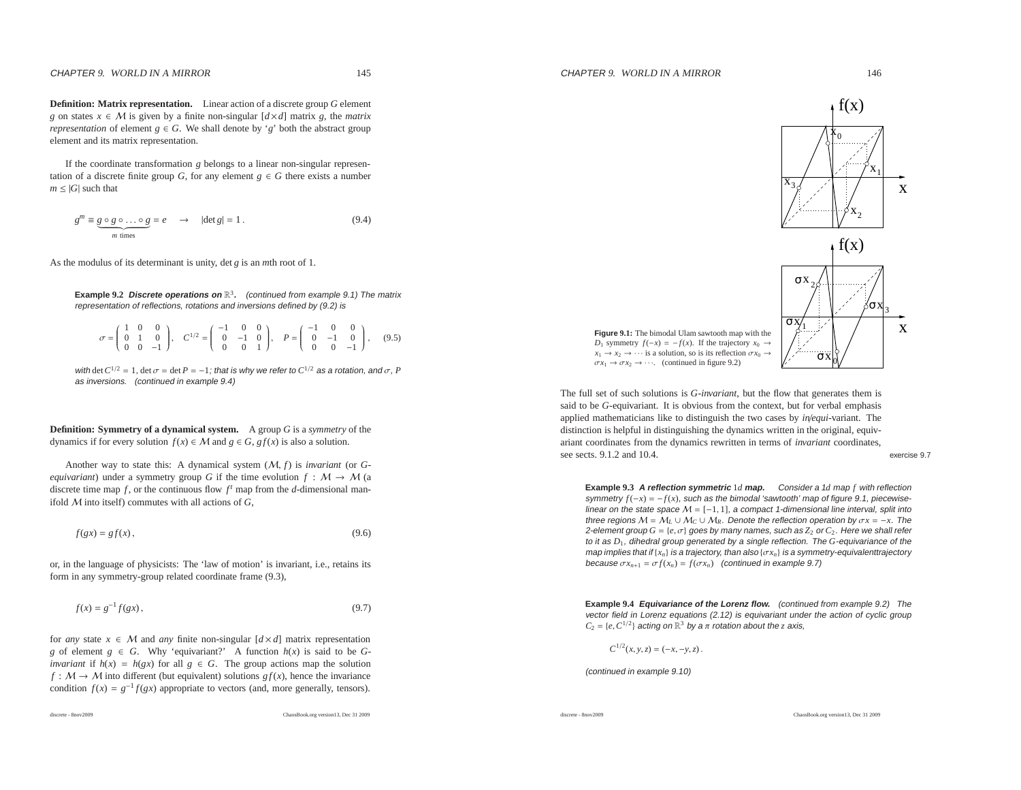**Definition: Matrix representation.** Linear action of <sup>a</sup> discrete group *<sup>G</sup>* element *g* on states  $x \in M$  is given by a finite non-singular  $\left[ d \times d \right]$  matrix *g*, the *matrix g* on the abstract group *representation* of element  $g \in G$ . We shall denote by '*g*' both the abstract group element and its matrix representation.

If the coordinate transformation *<sup>g</sup>* belongs to <sup>a</sup> linear non-singular representation of a discrete finite group *G*, for any element  $g \in G$  there exists a number  $m \leq |G|$  such that

$$
g^{m} \equiv \underbrace{g \circ g \circ \dots \circ g}_{m \text{ times}} = e \quad \rightarrow \quad |\det g| = 1. \tag{9.4}
$$

As the modulus of its determinant is unity, det *g* is an *<sup>m</sup>*th root of 1.

**Example 9.2 Discrete operations on** <sup>R</sup>3**.** (continued from example 9.1) The matrix representation of reflections, rotations and inversions defined by (9.2) is

|  |  | $\sigma = \begin{pmatrix} 1 & 0 & 0 \\ 0 & 1 & 0 \\ 0 & 0 & -1 \end{pmatrix}$ , $C^{1/2} = \begin{pmatrix} -1 & 0 & 0 \\ 0 & -1 & 0 \\ 0 & 0 & 1 \end{pmatrix}$ , $P = \begin{pmatrix} -1 & 0 & 0 \\ 0 & -1 & 0 \\ 0 & 0 & -1 \end{pmatrix}$ , (9.5) |  |  |  |  |  |
|--|--|------------------------------------------------------------------------------------------------------------------------------------------------------------------------------------------------------------------------------------------------------|--|--|--|--|--|
|  |  |                                                                                                                                                                                                                                                      |  |  |  |  |  |

with det  $C^{1/2} = 1$ , det  $\sigma = \det P = -1$ ; that is why we refer to  $C^{1/2}$  as a rotation, and  $\sigma$ , *P* as inversions. (continued in example 9.4)

**Definition: Symmetry of <sup>a</sup> dynamical system.** A group *<sup>G</sup>* is <sup>a</sup> *symmetry* of the dynamics if for every solution *f*(*x*) ∈ *M* and *g* ∈ *G*, *gf*(*x*) is also a solution.

Another way to state this: A dynamical system (M, *f*) is *invariant* (or *Gequivariant*) under a symmetry group *G* if the time evolution  $f : M \to M$ *equivariant*) under a symmetry group *G* if the time evolution  $f : M \to M$  (a discrete time map *f*, or the continuous flow  $f'$  map from the *d*-dimensional manifold <sup>M</sup> into itself) commutes with all actions of *<sup>G</sup>*,

$$
f(gx) = gf(x),\tag{9.6}
$$

or, in the language of physicists: The 'law of motion' is invariant, i.e., retains itsform in any symmetry-group related coordinate frame (9.3),

$$
f(x) = g^{-1} f(gx),
$$
\n(9.7)

for *any* state  $x \in M$  and *any* finite non-singular  $[d \times d]$  matrix representation *a* of element  $a \in G$ . Why 'equivariant?' A function  $h(x)$  is said to be G. *g* of element  $g \in G$ . Why 'equivariant?' A function  $h(x)$  is said to be  $G$ *invariant* if  $h(x) = h(gx)$  for all  $g \in G$ . The group actions map the solution  $f : \mathcal{M} \to \mathcal{M}$ *f* : *M* → *M* into different (but equivalent) solutions *g f*(*x*), hence the invariance condition *f*(*x*) =  $g^{-1}f(gx)$  appropriate to vectors (and, more generally, tensors).

$$
discrete \texttt{-} 8nov2009
$$



<sup>σ</sup><sup>x</sup>

**Figure 9.1:** The bimodal Ulam sawtooth map with the *D*<sub>1</sub> symmetry  $f(-x) = -f(x)$ . If the trajectory  $x_0 \rightarrow$  $x_1 \rightarrow x_2 \rightarrow \cdots$  is a solution, so is its reflection  $\sigma x_0 \rightarrow$  $\sigma x_1 \rightarrow \sigma x_2 \rightarrow \cdots$  (continued in figure 9.2)

The full set of such solutions is *G-invariant*, but the flow that generates them is said to be *<sup>G</sup>*-equivariant. It is obvious from the context, but for verbal emphasis applied mathematicians like to distinguish the two cases by *in*/*equi*-variant. The distinction is helpful in distinguishing the dynamics written in the original, equivariant coordinates from the dynamics rewritten in terms of *invariant* coordinates, see sects. 9.1.2 and 10.4. exercise 9.7

**Example 9.3 <sup>A</sup> reflection symmetric** <sup>1</sup>*<sup>d</sup>* **map.** Consider <sup>a</sup> <sup>1</sup>*<sup>d</sup>* map *f* with reflection symmetry *f*(−*<sup>x</sup>*) <sup>=</sup> <sup>−</sup>*f*(*x*), such as the bimodal 'sawtooth' map of figure 9.1, piecewiselinear on the state space <sup>M</sup>linear on the state space M = [−1, 1], a compact 1-dimensional line interval, split into<br>three regions M = M<sub>L</sub> ∪ M<sub>C</sub> ∪ M<sub>R</sub>. Denote the reflection operation by σ*x = −x. The*<br>2-element groun G = le σλ gnes by many name 2-element group *<sup>G</sup>* <sup>=</sup> {*<sup>e</sup>*, <sup>σ</sup>} goes by many names, such as *<sup>Z</sup>*<sup>2</sup> or *<sup>C</sup>*<sup>2</sup>. Here we shall refer to it as *<sup>D</sup>*1, dihedral group generated by <sup>a</sup> single reflection. The *<sup>G</sup>*-equivariance of the map implies that if  $\{x_n\}$  is a trajectory, than also  $\{\sigma x_n\}$  is a symmetry-equivalenttrajectory because  $\sigma x_{n+1} = \sigma f(x_n) = f(\sigma x_n)$  (continued in example 9.7)

**Example 9.4 Equivariance of the Lorenz flow.** (continued from example 9.2) The vector field in Lorenz equations (2.12) is equivariant under the action of cyclic group $C_2 = \{e, C^{1/2}\}\$ acting on  $\mathbb{R}^3$  by a  $\pi$  rotation about the *z* axis,

 $C^{1/2}(x, y, z) = (-x, -y, z)$ .

(continued in example 9.10)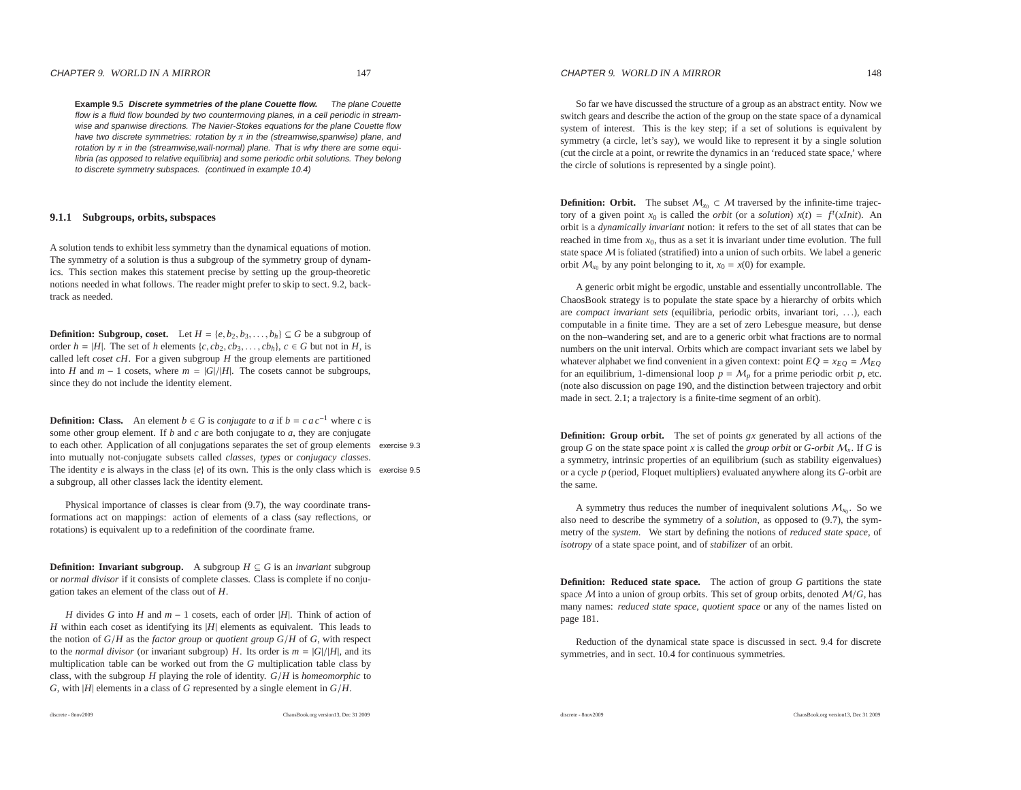**Example 9.5 Discrete symmetries of the plane Couette flow.** The plane Couette flow is <sup>a</sup> fluid flow bounded by two countermoving planes, in <sup>a</sup> cell periodic in streamwise and spanwise directions. The Navier-Stokes equations for the plane Couette flowhave two discrete symmetries: rotation by  $\pi$  in the (streamwise,spanwise) plane, and rotation by  $\pi$  in the (streamwise,wall-normal) plane. That is why there are some equilibria (as opposed to relative equilibria) and some periodic orbit solutions. They belongto discrete symmetry subspaces. (continued in example 10.4)

## **9.1.1 Subgroups, orbits, subspaces**

A solution tends to exhibit less symmetry than the dynamical equations of motion. The symmetry of <sup>a</sup> solution is thus <sup>a</sup> subgroup of the symmetry group of dynamics. This section makes this statement precise by setting up the group-theoretic notions needed in what follows. The reader might prefer to skip to sect. 9.2, backtrack as needed.

**Definition: Subgroup, coset.** Let *H* = {*e*, *b*<sub>2</sub>, *b*<sub>3</sub>, . . . , *b*<sub>*h*</sub>} ⊆ *G* be a subgroup of order *h* = [*H*]. The set of *h* elements {*c*, *c*}, *c*}, *c*}, *c*, *G* but not in *H* is order *<sup>h</sup>* <sup>=</sup>order  $h = |H|$ . The set of h elements  $\{c, cb_2, cb_3, \dots, cb_h\}$ ,  $c \in G$  but not in H, is called left *coset cH*. For a given subgroup H the group elements are partitioned into *H* and  $m - 1$  cosets, where  $m = |G|/|H|$ . The cosets cannot be subgroups, since they do not include the identity element.

**Definition: Class.** An element *b* ∈ *G* is *conjugate* to *a* if *b* = *c a*  $c^{-1}$  where *c* is some other group element. If *<sup>b</sup>* and *<sup>c</sup>* are both conjugate to *<sup>a</sup>*, they are conjugate to each other. Application of all conjugations separates the set of group elements exercise 9.3into mutually not-conjugate subsets called *classes*, *types* or *conjugacy classes*. The identity *<sup>e</sup>* is always in the class {*e*} of its own. This is the only class which is exercise 9.5 <sup>a</sup> subgroup, all other classes lack the identity element.

Physical importance of classes is clear from (9.7), the way coordinate transformations act on mappings: action of elements of <sup>a</sup> class (say reflections, orrotations) is equivalent up to <sup>a</sup> redefinition of the coordinate frame.

**Definition: Invariant subgroup.** A subgroup  $H \subseteq G$  is an *invariant* subgroup or *normal divisor* if it consists of complete classes. Class is complete if no conjugation takes an element of the class out of *<sup>H</sup>*.

*H* divides *G* into *H* and *m* − 1 cosets, each of order |*H*|. Think of action of *H* within each coset as identifying its  $|H|$  elements as equivalent. This leads to the notion of  $G/H$  as the *factor group* or *quotient group*  $G/H$  of  $G$ , with respect to the *normal* divisor (or invariant subgroup) *H*. Its order is  $m = |G|/|H|$ , and its multiplication table can be worked out from the *<sup>G</sup>* multiplication table class by class, with the subgroup *<sup>H</sup>* <sup>p</sup>laying the role of identity. *<sup>G</sup>*/*<sup>H</sup>* is *homeomorphic* to *G*, with |*H*| elements in <sup>a</sup> class of *<sup>G</sup>* represented by <sup>a</sup> single element in *<sup>G</sup>*/*H*.

CHAPTER 9. WORLD IN A MIRROR 148

So far we have discussed the structure of <sup>a</sup> group as an abstract entity. Now we switch gears and describe the action of the group on the state space of <sup>a</sup> dynamical system of interest. This is the key step; if <sup>a</sup> set of solutions is equivalent by symmetry (a circle, let's say), we would like to represen<sup>t</sup> it by <sup>a</sup> single solution (cut the circle at <sup>a</sup> point, or rewrite the dynamics in an 'reduced state space,' wherethe circle of solutions is represented by <sup>a</sup> single point).

**Definition:** Orbit. The subset  $M_{x_0} \,\subset M$  traversed by the infinite-time trajectory of a given point  $x_0$  is called the *orbit* (or a solution)  $x(t) = f'(xInit)$ . An tory of a given point  $x_0$  is called the *orbit* (or a *solution*)  $x(t) = f^t(xInit)$ . An orbit is <sup>a</sup> *dynamically invariant* notion: it refers to the set of all states that can be reached in time from  $x_0$ , thus as a set it is invariant under time evolution. The full state space M is foliated (stratified) into a union of such orbits. We label a generic<br>orbit M show noint belonging to it  $x_0 = x(0)$  for example orbit  $M_{x_0}$  by any point belonging to it,  $x_0 = x(0)$  for example.

A generic orbit might be ergodic, unstable and essentially uncontrollable. The ChaosBook strategy is to populate the state space by <sup>a</sup> hierarchy of orbits whichare *compact invariant sets* (equilibria, periodic orbits, invariant tori, ...), each computable in a finite time. They are a set of zero I ebecque measure, but dense computable in <sup>a</sup> finite time. They are <sup>a</sup> set of zero Lebesgue measure, but dense on the non–wandering set, and are to <sup>a</sup> generic orbit what fractions are to normal numbers on the unit interval. Orbits which are compac<sup>t</sup> invariant sets we label bywhatever alphabet we find convenient in a given context: point  $EQ = x_{EQ} = M_{EQ}$ for an equilibrium, 1-dimensional loop  $p = M_p$  for a prime periodic orbit  $p$ , etc. (note also discussion on page 190, and the distinction between trajectory and orbitmade in sect. 2.1; <sup>a</sup> trajectory is <sup>a</sup> finite-time segmen<sup>t</sup> of an orbit).

**Definition: Group orbit.** The set of points *gx* generated by all actions of the group *G* on the state space point *x* is called the *group orbit* or *G-orbit*  $M_x$ . If *G* is <sup>a</sup> symmetry, intrinsic properties of an equilibrium (such as stability eigenvalues) or <sup>a</sup> cycle *p* (period, Floquet multipliers) evaluated anywhere along its *<sup>G</sup>*-orbit are the same.

A symmetry thus reduces the number of inequivalent solutions  $M_{x_0}$ . So we also need to describe the symmetry of <sup>a</sup> *solution*, as oppose<sup>d</sup> to (9.7), the symmetry of the *system*. We start by defining the notions of *reduced state space*, of *isotropy* of <sup>a</sup> state space point, and of *stabilizer* of an orbit.

**Definition: Reduced state space.** The action of group *G* partitions the state space M into a union of group orbits. This set of group orbits, denoted  $M/G$ , has<br>many names: *reduced state space, quotient space* or any of the names listed on many names: *reduced state space*, *quotient space* or any of the names listed onpage 181.

Reduction of the dynamical state space is discussed in sect. 9.4 for discretesymmetries, and in sect. 10.4 for continuous symmetries.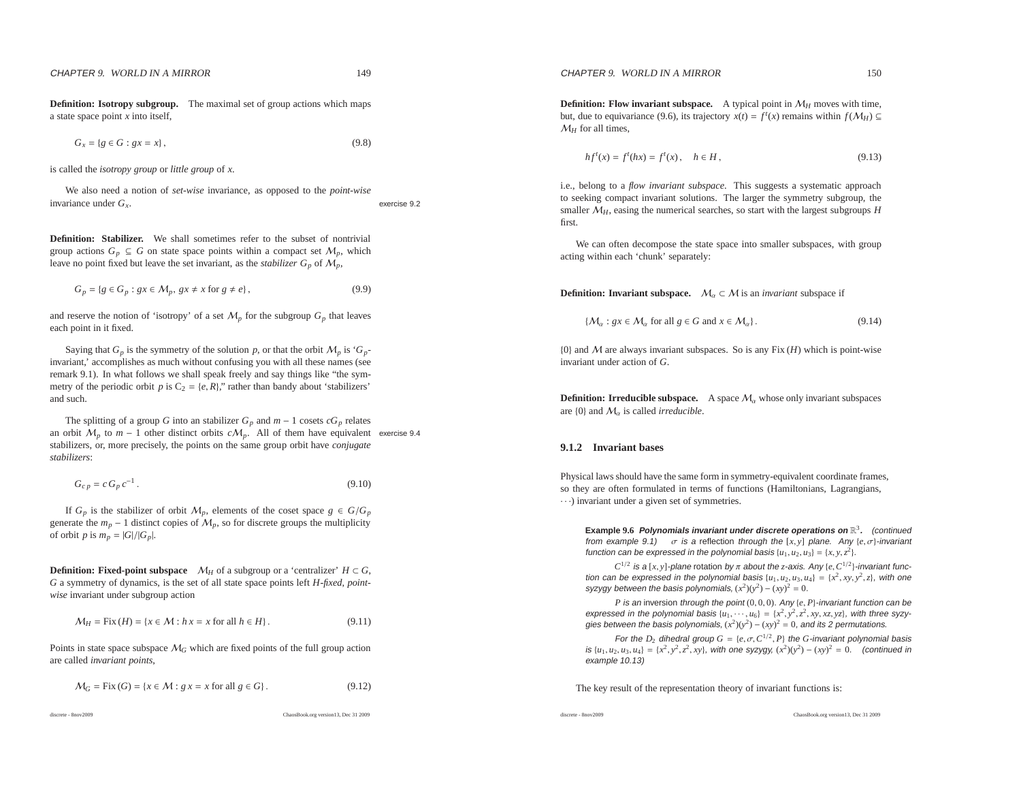**Definition: Isotropy subgroup.** The maximal set of group actions which maps<sup>a</sup> state space point *<sup>x</sup>* into itself,

$$
G_x = \{ g \in G : gx = x \},\tag{9.8}
$$

is called the *isotropy group* or *little group* of *<sup>x</sup>*.

We also need <sup>a</sup> notion of *set-wise* invariance, as oppose<sup>d</sup> to the *point-wise* invariance under  $G_r$ .  $\int G_x$ . exercise 9.2

**Definition: Stabilizer.** We shall sometimes refer to the subset of nontrivialgroup actions  $G_p \subseteq G$  on state space points within a compact set  $M_p$ , which leave no point fixed but leave the set invariant, as the *stabilizer*  $G_p$  of  $M_p$ ,

$$
G_p = \{ g \in G_p : gx \in M_p, gx \neq x \text{ for } g \neq e \},\tag{9.9}
$$

and reserve the notion of 'isotropy' of a set  $M_p$  for the subgroup  $G_p$  that leaves each point in it fixed.

Saying that  $G_p$  is the symmetry of the solution *p*, or that the orbit  $\mathcal{M}_p$  is ' $G_p$ invariant,' accomplishes as much without confusing you with all these names (see remark 9.1). In what follows we shall speak freely and say things like "the symmetry of the periodic orbit *p* is  $C_2 = \{e, R\}$ ," rather than bandy about 'stabilizers' and such.

The splitting of a group *G* into an stabilizer  $G_p$  and  $m-1$  cosets  $cG_p$  relates an orbit  $M_p$  to  $m-1$  other distinct orbits  $cM_p$ . All of them have equivalent exercise 9.4 stabilizers, or, more precisely, the points on the same group orbit have *conjugate stabilizers*:

$$
G_{cp} = c G_p c^{-1}.
$$
\n(9.10)

If  $G_p$  is the stabilizer of orbit  $M_p$ , elements of the coset space  $g \in G/G_p$ generate the  $m_p - 1$  distinct copies of  $M_p$ , so for discrete groups the multiplicity of orbit *p* is  $m_p = |G|/|G_p|$ .

**Definition: Fixed-point subspace**  $M_H$  of a subgroup or a 'centralizer'  $H \subset G$ , *G* <sup>a</sup> symmetry of dynamics, is the set of all state space points left *H-fixed*, *pointwise* invariant under subgroup action

$$
\mathcal{M}_H = \text{Fix}\,(H) = \{x \in \mathcal{M} : h \, x = x \text{ for all } h \in H\}.
$$
\n
$$
(9.11)
$$

Points in state space subspace  $M_G$  which are fixed points of the full group action are called *invariant points*,

$$
M_G = \text{Fix}(G) = \{x \in M : g \, x = x \text{ for all } g \in G\}.
$$
 (9.12)

discrete - 8nov2009

ChaosBook.org version13, Dec <sup>31</sup> <sup>2009</sup>

**Definition:** Flow **invariant** subspace. A typical point in  $M_H$  moves with time, but, due to equivariance (9.6), its trajectory  $x(t) = f^t(x)$  remains within  $f(M_H) \subseteq$  $M_H$  for all times,

$$
hf^{t}(x) = f^{t}(hx) = f^{t}(x), \quad h \in H,
$$
\n(9.13)

i.e., belong to <sup>a</sup> *flow invariant subspace*. This suggests <sup>a</sup> systematic approac<sup>h</sup> to seeking compac<sup>t</sup> invariant solutions. The larger the symmetry subgroup, the smaller M*<sup>H</sup>*, easing the numerical searches, so start with the largest subgroups *<sup>H</sup>*first.

We can often decompose the state space into smaller subspaces, with groupacting within each 'chunk' separately:

**Definition: Invariant subspace.**  $M_\alpha \subset M$  is an *invariant* subspace if

$$
\{M_{\alpha} : gx \in M_{\alpha} \text{ for all } g \in G \text{ and } x \in M_{\alpha}\}.
$$
\n(9.14)

 ${0}$  and *M* are always invariant subspaces. So is any Fix  $(H)$  which is point-wise<br>invariant under action of  $G$ invariant under action of *<sup>G</sup>*.

**Definition: Irreducible subspace.** A space  $M_{\alpha}$  whose only invariant subspaces are  $\{0\}$  and  $\mathcal{M}_{\alpha}$  is called *irreducible*.

# **9.1.2 Invariant bases**

Physical laws should have the same form in symmetry-equivalent coordinate frames, so they are often formulated in terms of functions (Hamiltonians, Lagrangians, · · ·) invariant under <sup>a</sup> <sup>g</sup>iven set of symmetries.

**Example 9.6 Polynomials invariant under discrete operations on** <sup>R</sup>3**.** (continued from example 9.1) <sup>σ</sup> is <sup>a</sup> reflection through the [*<sup>x</sup>*, *<sup>y</sup>*] plane. Any {*<sup>e</sup>*, <sup>σ</sup>}-invariant function can be expressed in the polynomial basis  $\{u_1, u_2, u_3\} = \{x, y, z^2\}.$ 

*C*<sup>1/2</sup> is a [*x*, *y*]-plane rotation by π about the *z*-axis. Any {*e*, *C*<sup>1/2</sup>}-invariant function can be expressed in the polynomial basis  $\{u_1, u_2, u_3, u_4\} = \{x^2, xy, y^2, z\}$ , with one syzygy between the basis polynomials,  $(x^2)(y^2) - (xy)^2 = 0$ .

*P* is an inversion through the point (0, <sup>0</sup>, 0). Any {*<sup>e</sup>*, *<sup>P</sup>*}-invariant function can be expressed in the polynomial basis  $\{u_1, \dots, u_6\} = \{x^2, y^2, z^2, xy, xz, yz\}$ , with three syzygies between the basis polynomials,  $(x^2)(y^2) - (xy)^2 = 0$ , and its 2 permutations.

For the  $D_2$  dihedral group  $G = \{e, \sigma, C^{1/2}, P\}$  the *G*-invariant polynomial basis  $\mu_2 \mu_3 = \{x^2, y^2, z^2, yy\}$ , with one syzyov  $(x^2)(y^2) = (xy)^2 = 0$ , continued in  $i\mathbf{s}$  {*u*<sub>1</sub>, *u*<sub>2</sub>, *u*<sub>3</sub>, *u*<sub>4</sub>} = {*x*<sup>2</sup>, *y*<sup>2</sup>, *z*<sup>2</sup>, *xy*}, with one syzygy, (*x*<sup>2</sup>)(*y*<sup>2</sup>) – (*xy*)<sup>2</sup> = 0. (continued in example 10.13)

The key result of the representation theory of invariant functions is: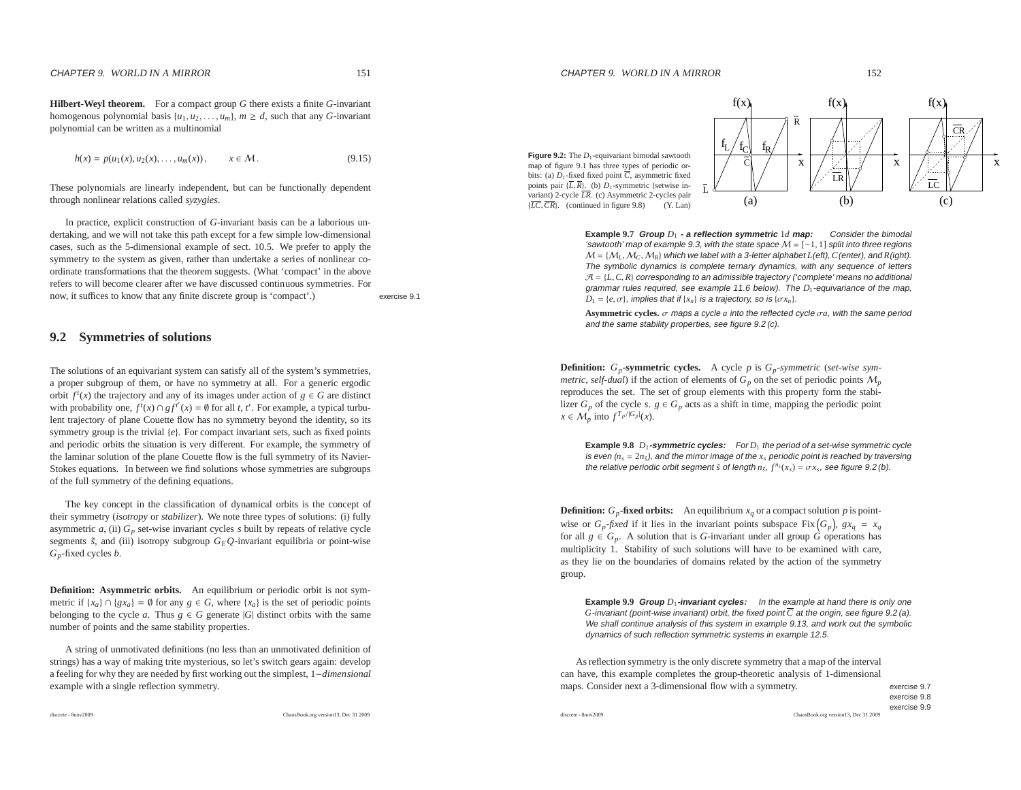**Hilbert-Weyl theorem.** For <sup>a</sup> compac<sup>t</sup> group *<sup>G</sup>* there exists <sup>a</sup> finite *<sup>G</sup>*-invariant homogenous polynomial basis  $\{u_1, u_2, \ldots, u_m\}$ ,  $m \ge d$ , such that any *G*-invariant polynomial can be written as a multinomial polynomial can be written as <sup>a</sup> multinomial

$$
h(x) = p(u_1(x), u_2(x), \dots, u_m(x)), \qquad x \in \mathcal{M}.
$$
 (9.15)

These polynomials are linearly independent, but can be functionally dependentthrough nonlinear relations called *syzygies*.

In practice, explicit construction of *<sup>G</sup>*-invariant basis can be <sup>a</sup> laborious undertaking, and we will not take this path excep<sup>t</sup> for <sup>a</sup> few simple low-dimensional cases, such as the 5-dimensional example of sect. 10.5. We prefer to apply the symmetry to the system as given, rather than undertake <sup>a</sup> series of nonlinear coordinate transformations that the theorem suggests. (What 'compact' in the above refers to will become clearer after we have discussed continuous symmetries. Fornow, it suffices to know that any finite discrete group is 'compact'.)exercise 9.1

# **9.2 Symmetries of solutions**

The solutions of an equivariant system can satisfy all of the system's symmetries, <sup>a</sup> proper subgroup of them, or have no symmetry at all. For <sup>a</sup> generic ergodicorbit  $f'(x)$  the trajectory and any of its images under action of  $g \in G$  are distinct with probability one,  $f'(x) \cap gf'(x) = \emptyset$  for all *t*, *t'*. For example, a typical turbulent trajectory of plane Couette flow has no symmetry beyond the identity, so its symmetry group is the trivial {*e*}. For compac<sup>t</sup> invariant sets, such as fixed points and periodic orbits the situation is very different. For example, the symmetry of the laminar solution of the plane Couette flow is the full symmetry of its Navier-Stokes equations. In between we find solutions whose symmetries are subgroupsof the full symmetry of the defining equations.

The key concep<sup>t</sup> in the classification of dynamical orbits is the concep<sup>t</sup> of their symmetry (*isotropy* or *stabilizer*). We note three types of solutions: (i) fully asymmetric *<sup>a</sup>*, (ii) *<sup>G</sup><sup>p</sup>* set-wise invariant cycles *<sup>s</sup>* built by repeats of relative cycle segments ˜*s*, and (iii) isotropy subgroup *<sup>G</sup>EQ*-invariant equilibria or point-wise *<sup>G</sup>p*-fixed cycles *<sup>b</sup>*.

**Definition: Asymmetric orbits.** An equilibrium or periodic orbit is not symmetric if  $\{x_a\} \cap \{gx_a\} = \emptyset$  for any  $g \in G$ , where  $\{x_a\}$  is the set of periodic points belonging to the cycle *a*. Thus  $g \in G$  generate  $|G|$  distinct orbits with the same number of points and the same stability properties.

A string of unmotivated definitions (no less than an unmotivated definition of strings) has <sup>a</sup> way of making trite mysterious, so let's switch gears again: develop <sup>a</sup> feeling for why they are needed by first working out the simplest, 1−*dimensional*example with <sup>a</sup> single reflection symmetry.

**Figure 9.2:** The *<sup>D</sup>*1-equivariant bimodal sawtooth map of figure 9.1 has three types of periodic orbits: (a) *<sup>D</sup>*1-fixed fixed point *<sup>C</sup>*, asymmetric fixed points pair {*L*, *<sup>R</sup>*}. (b) *<sup>D</sup>*1-symmetric (setwise invariant) 2-cycle *LR*. (c) Asymmetric 2-cycles pair  $\{LC, CR\}$ . (continued in figure 9.8) (Y. Lan)



**Example 9.7 Group** *<sup>D</sup>*<sup>1</sup> **- <sup>a</sup> reflection symmetric** <sup>1</sup>*<sup>d</sup>* **map:** Consider the bimodal 'sawtooth' map of example 9.3, with the state space  ${\cal M}$ 'sawtooth' map of example 9.3, with the state space  $\mathcal{M} = [-1,1]$  split into three regions<br>M = {Mı , Mı , Mı } which we label with a 3-letter alphabet L(eft). C(enter). and R(ight). <sup>=</sup> {M*<sup>L</sup>*,M*<sup>C</sup>*,M*R*} which we label with <sup>a</sup> 3-letter alphabet *<sup>L</sup>*(eft), *<sup>C</sup>*(enter), and *<sup>R</sup>*(ight). The symbolic dynamics is complete ternary dynamics, with any sequence of letters A <sup>=</sup> {*L*,*C*, *<sup>R</sup>*} corresponding to an admissible trajectory ('complete' means no additional grammar rules required, see example 11.6 below). The  $D_1$ -equivariance of the map,  $D_1 = \{e, \sigma\}$ , implies that if  $\{x_n\}$  is a trajectory, so is  $\{\sigma x_n\}$ .

**Asymmetric cycles.** <sup>σ</sup> maps <sup>a</sup> cycle *<sup>a</sup>* into the reflected cycle <sup>σ</sup>*a*, with the same period and the same stability properties, see figure 9.2 (c).

**Definition:**  $G_p$ -symmetric cycles. A cycle  $p$  is  $G_p$ -symmetric (*set-wise symmetric*, *self-dual*) if the action of elements of *<sup>G</sup><sup>p</sup>* on the set of periodic points <sup>M</sup>*<sup>p</sup>* reproduces the set. The set of group elements with this property form the stabilizer  $G_p$  of the cycle *s*.  $g \in G_p$  acts as a shift in time, mapping the periodic point *x* ∈  $M_p$  into  $f^{T_p/[G_p]}(x)$ .

**Example 9.8** *<sup>D</sup>*1**-symmetric cycles:** For *<sup>D</sup>*<sup>1</sup> the period of <sup>a</sup> set-wise symmetric cycleis even  $(n_s = 2n_{\bar{s}})$ , and the mirror image of the  $x_s$  periodic point is reached by traversing the relative periodic orbit segment  $\tilde{s}$  of length  $n_{\tilde{s}}, f^{n_{\tilde{s}}}(x_s) = \sigma x_s$ , see figure 9.2 (b).

**Definition:**  $G_p$ **-fixed orbits:** An equilibrium  $x_q$  or a compact solution *p* is pointwise or  $G_p$ -*fixed* if it lies in the invariant points subspace Fix  $(G_p)$ ,  $gx_q = x_q$ for all  $g \in G_p$ . A solution that is *G*-invariant under all group *G* operations has multiplicity 1. Stability of such solutions will have to be examined with care, as they lie on the boundaries of domains related by the action of the symmetry group.

**Example 9.9 Group** *<sup>D</sup>*1**-invariant cycles:** In the example at hand there is only one *G*-invariant (point-wise invariant) orbit, the fixed point *C* at the origin, see figure 9.2 (a). We shall continue analysis of this system in example 9.13, and work out the symbolic dynamics of such reflection symmetric systems in example 12.5.

As reflection symmetry is the only discrete symmetry that <sup>a</sup> map of the interval can have, this example completes the group-theoretic analysis of 1-dimensionalmaps. Consider next a 3-dimensional flow with a symmetry.

| exercise 9.7 |  |
|--------------|--|
| exercise 9.8 |  |
| exercise 9.9 |  |

discrete - 8nov2009

ChaosBook.org version13, Dec <sup>31</sup> <sup>2009</sup>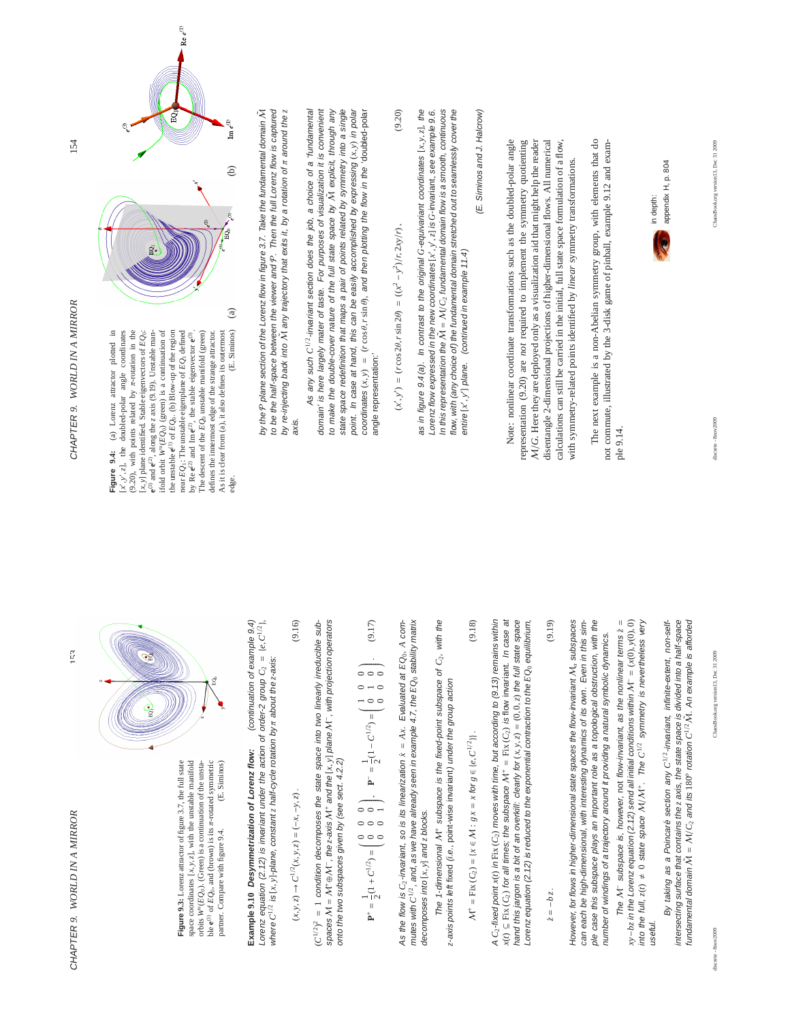153

ble  $e^{(1)}$  of  $EQ_0$ , and (brown) is its  $\pi$ -rotated symmetric space coordinates  $[x, y, z]$ , with the unstable manifold orbits  $W^u(EQ_0)$ . (Green) is a continuation of the unsta-Figure 9.3: Lorenz attractor of figure 3.7, the full state **Figure 9.3:** Lorenz attractor of figure 3.7, the full state space coordinates [*x*, *y*,*z*], with the unstable manifold orbits *Wu*(*EQ*0). (Green) is a continuation of the unsta-



 $\mathcal{L}_{\mathcal{A}}$ ble **e**(1) of *EQ*0, and (brown) is its π-rotated symmetric (E. Siminos) partner. Compare with figure 9.4. (E. Siminos) partner. Compare with figure 9.4.

(continuation of example 9.4) Lorenz equation (2.12) is invariant under the action of order-2 group  $C_2 = \{e, C^{1/2}\},$ **Example 9.10 Desymmetrization of Lorenz flow:** (continuation of example 9.4) Lorenz equation (2.12) is invariant under the action of order-2 group  $C_2 = \{e, C^{1/2}\}$ , where  $C^{1/2}$  is [x, y]-plane, constant z half-cycle rotation by  $\pi$  about the z-axis: where *C*1/2 is [*x*, *y*]-plane, constant *z* half-cycle rotation by π about the *z*-axis: Example 9.10 Desymmetrization of Lorenz flow:

$$
(x, y, z) \rightarrow C^{1/2}(x, y, z) = (-x, -y, z).
$$
 (9.16)

 $\odot$ 

 $(C^{1/2})^2 = 1$  condition decomposes the state space into two linearly irreducible subspaces  $M = \mathcal{M}^+ \oplus \mathcal{M}^-$ , the z-axis  $\mathcal{M}^+$  and the [x, y] plane  $\mathcal{M}^-$ , with projection operators  $(C^{1/2})^2 = 1$  condition decomposes the state space into two linearly irreducible subspaces M = M+⊕M−, the *z*-axis M+ and the [*x*, *y*] plane M−, with projection operators onto the two subspaces given by (see sect. 4.2.2) onto the two subspaces given by (see sect. 4.2.2)

$$
\mathbf{P}^+ = \frac{1}{2}(1 + C^{1/2}) = \begin{pmatrix} 0 & 0 & 0 \\ 0 & 0 & 0 \\ 0 & 0 & 1 \end{pmatrix}, \quad \mathbf{P}^- = \frac{1}{2}(1 - C^{1/2}) = \begin{pmatrix} 1 & 0 & 0 \\ 0 & 1 & 0 \\ 0 & 0 & 0 \end{pmatrix}.
$$
 (9.17)

mutes with *C*1/2, and, as we have already seen in example 4.7, the *EQ*0 stability matrix As the flow is C<sub>2</sub>-invariant, so is its linearization  $x = Ax$ . Evaluated at EQ<sub>0</sub>, A com-As the flow is C2-invariant, so is its linearization ˙*x* = *Ax*. Evaluated at *EQ*0, *A* commutes with  $C^{1/2}$ , and, as we have already seen in example 4.7, the  $EQ_0$  stability matrix decomposes into  $[x, y]$  and  $z$  blocks. decomposes into [*x*, *y*] and *z* blocks.

The 1-dimensional  $\mathcal{M}^+$  subspace is the fixed-point subspace of  $C_2$ , with the The 1-dimensional  $\mathcal{M}^+$  subspace is the fixed-point subspace of  $C_2$ , with the z-axis points left fixed (i.e., point-wise invariant) under the group action *z*-axis points left fixed (i.e., point-wise invariant) under the group action

$$
\mathcal{M}^* = \text{Fix}\,(C_2) = \{x \in \mathcal{M} : g \ x = x \ \text{for} \ g \in \{e, C^{1/2}\}\}\,.
$$
 (9.18)

A  $C_2$ -fixed point  $x(t)$  in Fix  $(C_2)$  moves with time, but according to (9.13) remains within hand this jargon is a bit of an overkill: clearly for  $(x, y, z) = (0, 0, z)$  the full state space  $x(t) \subseteq Fix(C_2)$  for all times; the subspace  $\mathcal{M}^+ = Fix(C_2)$  is flow invariant. In case at  $x(t) \subseteq Fix(C_2)$  for all times; the subspace  $\mathcal{M}^+ = Fix(C_2)$  is flow invariant. In case at C2-fixed point *x*(*t*) in Fix (C2) moves with time, but according to (9.13) remains within hand this jargon is a bit of an overkill: clearly for (*x*, *y*,*z*) = (0, 0,*z*) the full state space Lorenz equation (2.12) is reduced to the exponential contraction to the  $EQ_0$  equilibrium,

Lorenz equation (2.12) is reduced to the exponential contraction to the *EO*<sub>0</sub> equilibrium,   

$$
z = -bz
$$
. (9.19)

However, for flows in higher-dimensional state spaces the flow-invariant M<sub>u</sub> subspaces can each be high-dimensional, with interesting dynamics of its own. Even in this simple case this subspace plays an important role as a topological obstruction, with the However, for flows in higher-dimensional state spaces the flow-invariant Mα subspaces can each be high-dimensional, with interesting dynamics of its own. Even in this simple case this subspace plays an important role as a topological obstruction, with the number of windings of a trajectory around it providing a natural symbolic dynamics. number of windings of a trajectory around it providing a natural symbolic dynamics. The  $\mathcal{M}^-$  subspace is, however, not flow-invariant, as the nonlinear terms  $z =$ xy-bz in the Lorenz equation (2.12) send all initial conditions within  $\mathcal{N}^- = (x(0), y(0), 0)$ <br>into the full,  $x(t) \neq 0$  state space  $\mathcal{M}/\mathcal{N}^+$ . The C<sup>1/2</sup> symmetry is nevertheless very into the full,  $z(t) \neq 0$  state space  $\mathcal{M}/\mathcal{M}^+$ . The  $\mathcal{C}^{1/2}$  symmetry is nevertheless very The M− subspace is, however, not flow-invariant, as the nonlinear terms ˙*z* = *xy*−*bz* in the Lorenz equation (2.12) send all initial conditions within M− = (*x*(0), *y*(0), 0) useful.

By taking as a Poincaré section any C<sup>1/2</sup>-invariant, infinite-extent, non-self- $\tilde{\mathcal{M}}=\mathcal{M}/C_2$  and its 180° rotation  $C^{1/2}\tilde{\mathcal{M}}$ . An example is afforded By taking as a Poincaré section any *C<sup>1/2</sup>-invariant*, infinite-extent, non-selfintersecting surface that contains the *z* axis, the state space is divided into a half-space ˜ Mfundamental domain

ChaosBook.org version13, Dec 31 2009 discrete - 8nov2009 version13, Dec 31 2009 ChaosBook.org version13, Dec 31 2009 ChaosBook.org version13, Dec 31 2009

# CHAPTER 9. WORLD IN A MIRROR 154 CHAPTER 9. WORLD IN A MIRROR

154

(E. Siminos) Figure 9.4: (a) Lorenz attractor plotted in (9.20), with points related by  $\pi$ -rotation in the ifold orbit  $W^u(EQ_0)$  (green) is a continuation of the unstable  $e^{(1)}$  of  $EQ_0$ . (b) Blow-up of the region near  $EQ_1$ : The unstable eigenplane of  $EQ_1$  defined The descent of the  $EQ_0$  unstable manifold (green) As it is clear from (a), it also defines its outermost **Figure 9.4:** (a) Lorenz attractor plotted in  $[x', y', z]$ , the doubled-polar angle coordinates [*x*′, *y*′,*z*], the doubled-polar angle coordinates (9.20), with points related by  $\pi$ -rotation in the [x, y] plane identified. Stable eigenvectors of  $EQ_0$ : [*x*, *y*] plane identified. Stable eigenvectors of *EQ*0:  $e^{(3)}$  and  $e^{(2)}$ , along the z axis (9.19). Unstable man**e**(3) and **e**(2), along the *z* axis (9.19). Unstable manifold orbit *Wu*(*EQ*0) (green) is a continuation of the unstable **e**(1) of *EQ*0. (b) Blow-up of the region near *EQ*1: The unstable eigenplane of *EQ*1 defined by Ree<sup>(2)</sup> and Im  $e^{(2)}$ , the stable eigenvector  $e^{(3)}$ . by Re $e^{(2)}$  and Im $e^{(2)}$ , the stable eigenvector  $e^{(3)}$ . The descent of the *EQ*0 unstable manifold (green) defines the innermost edge of the strange attractor. defines the innermost edge of the strange attractor. As it is clear from (a), it also defines its outermost edge.



by the P plane section of the Lorenz flow in figure 3.7. Take the fundamental domain ˜ Mto be the half-space between the viewer and P. Then the full Lorenz flow is captured to be the half-space between the viewer and P. Then the full Lorenz flow is captured by re-injecting back into ˜ M any trajectory that exits it, by a rotation of π around the *z* axis.

As any such C<sup>1/2</sup>-invariant section does the job, a choice of a "fundamental"<br>domain' is here largely mater of taste. For purposes of visualization it is convenient state space redefinition that maps a pair of points related by symmetry into a single point. In case at hand, this can be easily accomplished by expressing (x, y) in polar As any such *C*1/2-invariant section does the job, a choice of a 'fundamental domain' is here largely mater of taste. For purposes of visualization it is convenient explicit, through any state space redefinition that maps a pair of points related by symmetry into a single point. In case at hand, this can be easily accomplished by expressing (*x*, *y*) in polar coordinates  $(x, y) = (r \cos \theta, r \sin \theta)$ , and then plotting the flow in the 'doubled-polar coordinates (*x*, *y*) = (*r* cos θ,*r*sin θ), and then plotting the flow in the 'doubled-polar Mto make the double-cover nature of the full state space by angle representation: angle representation:'

$$
(x', y') = (r \cos 2\theta, r \sin 2\theta) = ((x^2 - y^2)/r, 2xy/r), \qquad (9.20)
$$

as in figure 9.4 (a). In contrast to the original G-equivariant coordinates [x, y, z], the flow, with (any choice of) the fundamental domain stretched out to seamlessly cover the as in figure 9.4 (a). In contrast to the original *G*-equivariant coordinates [*x*, *y*,*z*], the Lorenz flow expressed in the new coordinates [*x*′, *y*′,*z*] is *G*-invariant, see example 9.6.  $\mathcal{M}=\mathcal{M}/C_2$  fundamental domain flow is a smooth, continuous<br>the fundamental domain stretched out to seamlessly cover the flow, with (any choice of) the fundamental domain stretched out to seamlessly cover the entire [x', y'] plane. (continued in example 11.4) entire [*x*′, *y*′] plane. (continued in example 11.4) ˜ MIn this representation the

E. Siminos and J. Halcrow) (E. Siminos and J. Halcrow)

Note: nonlinear coordinate transformations such as the doubled-polar angle representation (9.20) are not required to implement the symmetry quotienting  $M/G$ . Here they are deployed only as a visualization aid that might help the reader disentangle 2-dimensional projections of higher-dimensional flows. All numerical calculations can still be carried in the initial, full state space formulation of a flow, Note: nonlinear coordinate transformations such as the doubled-polar angle representation (9.20) are *not* required to implement the symmetry quotienting M/*G*. Here they are deployed only as a visualization aid that might help the reader disentangle 2-dimensional projections of higher-dimensional flows. All numerical calculations can still be carried in the initial, full state space formulation of a flow, with symmetry-related points identified by linear symmetry transformations. with symmetry-related points identified by *linear* symmetry transformations. The next example is a non-Abelian symmetry group, with elements that do not commute, illustrated by the 3-disk game of pinball, example 9.12 and exam-The next example is a non-Abelian symmetry group, with elements that do not commute, illustrated by the 3-disk game of pinball, example 9.12 and example 9.14.



ChaosBook.org version13, Dec 31 2009 discrete - 8nov2009 version13, Dec 31 2009 ChaosBook.org version13, Dec 31 2009 ChaosBook.org version13, Dec 31 2009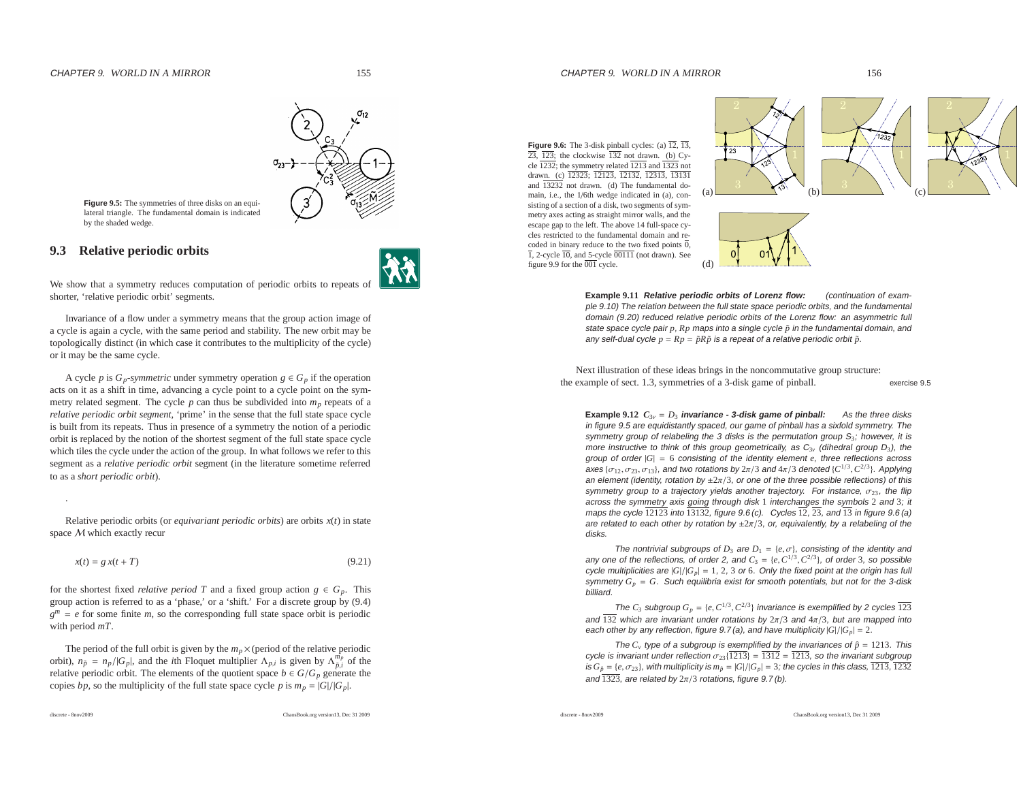

**Figure 9.5:** The symmetries of three disks on an equilateral triangle. The fundamental domain is indicatedby the shaded wedge.

# **9.3 Relative periodic orbits**



We show that <sup>a</sup> symmetry reduces computation of periodic orbits to repeats ofshorter, 'relative periodic orbit' segments.

Invariance of <sup>a</sup> flow under <sup>a</sup> symmetry means that the group action image of <sup>a</sup> cycle is again <sup>a</sup> cycle, with the same period and stability. The new orbit may be topologically distinct (in which case it contributes to the multiplicity of the cycle) or it may be the same cycle.

A cycle *p* is  $G_p$ -*symmetric* under symmetry operation  $g \in G_p$  if the operation acts on it as <sup>a</sup> shift in time, advancing <sup>a</sup> cycle point to <sup>a</sup> cycle point on the symmetry related segment. The cycle  $p$  can thus be subdivided into  $m_p$  repeats of a *relative periodic orbit segment*, 'prime' in the sense that the full state space cycle is built from its repeats. Thus in presence of <sup>a</sup> symmetry the notion of <sup>a</sup> periodic orbit is replaced by the notion of the shortest segmen<sup>t</sup> of the full state space cycle which tiles the cycle under the action of the group. In what follows we refer to this segment as <sup>a</sup> *relative periodic orbit* segmen<sup>t</sup> (in the literature sometime referredto as <sup>a</sup> *short periodic orbit*).

Relative periodic orbits (or *equivariant periodic orbits*) are orbits *<sup>x</sup>*(*t*) in statespace M which exactly recur

$$
x(t) = g x(t+T) \tag{9.21}
$$

for the shortest fixed *relative period*  $T$  and a fixed group action  $g \in G_p$ . This group action is referred to as <sup>a</sup> 'phase,' or <sup>a</sup> 'shift.' For <sup>a</sup> discrete group by (9.4) $g^m = e$  for some finite *m*, so the corresponding full state space orbit is periodic with period *mT*.

The period of the full orbit is given by the  $m_p \times$  (period of the relative periodic orbit),  $n_{\tilde{p}} = n_p / |G_p|$ , and the *i*th Floquet multiplier  $\Lambda_{p,i}$  is given by  $\Lambda_{\tilde{p},i}^{m_p}$  of the relative periodic orbit. The elements of the quotient space  $b \in G/G_p$  generate the copies *bp*, so the multiplicity of the full state space cycle *p* is  $m_p = |G|/|G_p|$ .

**Figure 9.6:** The 3-disk <sup>p</sup>inball cycles: (a) 12, 13, 23, 123; the clockwise <sup>132</sup> not drawn. (b) Cycle 1232; the symmetry related <sup>1213</sup> and <sup>1323</sup> not drawn. (c) 12323; 12123, 12132, 12313, <sup>13131</sup> and <sup>13232</sup> not drawn. (d) The fundamental domain, i.e., the 1/6th wedge indicated in (a), consisting of <sup>a</sup> section of <sup>a</sup> disk, two segments of symmetry axes acting as straight mirror walls, and the escape gap to the left. The above 14 full-space cycles restricted to the fundamental domain and recoded in binary reduce to the two fixed points 0, 1, 2-cycle 10, and 5-cycle <sup>00111</sup> (not drawn). See figure 9.9 for the <sup>001</sup> cycle.



(d)

**Example 9.11 Relative periodic orbits of Lorenz flow:** (continuation of example 9.10) The relation between the full state space periodic orbits, and the fundamental domain (9.20) reduced relative periodic orbits of the Lorenz flow: an asymmetric full state space cycle pair *<sup>p</sup>*, *Rp* maps into <sup>a</sup> single cycle *<sup>p</sup>*˜ in the fundamental domain, and any self-dual cycle  $p = Rp = \tilde{p}R\tilde{p}$  is a repeat of a relative periodic orbit  $\tilde{p}$ .

Next illustration of these ideas brings in the noncommutative group structure:the example of sect. 1.3, symmetries of <sup>a</sup> 3-disk game of pinball. exercise 9.5

**Example 9.12** *<sup>C</sup>*<sup>3</sup>*<sup>v</sup>* <sup>=</sup> *<sup>D</sup>*<sup>3</sup> **invariance - 3-disk game of pinball:** As the three disks in figure 9.5 are equidistantly spaced, our game of pinball has <sup>a</sup> sixfold symmetry. Thesymmetry group of relabeling the 3 disks is the permutation group  $\mathbf{S}_3$ ; however, it is more instructive to think of this group geometrically, as C<sup>3</sup>*<sup>v</sup>* (dihedral group <sup>D</sup>3), the group of order |*G*| <sup>=</sup> <sup>6</sup> consisting of the identity element *<sup>e</sup>*, three reflections across axes { $\sigma_{12}, \sigma_{23}, \sigma_{13}$ }, and two rotations by 2π/3 and 4π/3 denoted { $C^{1/3}, C^{2/3}$ }. Applying<br>an element (identity, rotation by +2π/3, or one of the three possible reflections) of this an element (identity, rotation by  $\pm 2\pi/3$ , or one of the three possible reflections) of this symmetry group to a trajectory yields another trajectory. For instance,  $\sigma_{23}$ , the flip across the sym<u>metry</u> axis <u>going</u> through disk 1 interchanges the symbols 2 and 3; it maps the cycle <sup>12123</sup> into <sup>13132</sup>, figure 9.6 (c). Cycles <sup>12</sup>, <sup>23</sup>, and <sup>13</sup> in figure 9.6 (a) are related to each other by rotation by  $\pm 2\pi/3$ , or, equivalently, by a relabeling of the disks.

The nontrivial subgroups of  $D_3$  are  $D_1$  = The nontrivial subgroups of  $D_3$  are  $D_1 = \{e, \sigma\}$ , consisting of the identity and any one of the reflections, of order 2, and  $C_3 = \{e, C^{1/3}, C^{2/3}\}$ , of order 3, so possible cycle multiplicities are <sup>|</sup>*G*|/|*Gp*<sup>|</sup> <sup>=</sup> <sup>1</sup>, <sup>2</sup>, <sup>3</sup> or <sup>6</sup>. Only the fixed point at the origin has full symmetry *<sup>G</sup><sup>p</sup>* <sup>=</sup> *<sup>G</sup>*. Such equilibria exist for smooth potentials, but not for the 3-disk billiard.

The  $C_3$  subgroup  $G_p = \{e, C^{1/3}, C^{2/3}\}\$ invariance is exemplified by 2 cycles 123 and 132 which are invariant under rotations by  $2\pi/3$  and  $4\pi/3$ , but are mapped into each other by any reflection, figure 9.7 (a), and have multiplicity |*G*|/|*Gp*| <sup>=</sup> <sup>2</sup>.

The  $C_v$  type of a subgroup is exemplified by the invariances of  $\hat{p} = 1213$ . This cycle is invariant under reflection  $\sigma_{23}{1213} = 1312 = 1213$ , so the invariant subgroup is  $G_{\hat{p}} = \{e, \sigma_{23}\}$ , with multiplicity is  $m_{\hat{p}} = |G|/|G_p| = 3$ ; the cycles in this class, 1213, 1232<br>and <sup>1222</sup>, are related by 2=/2 retational figure 0.7 (b) and 1323, are related by  $2\pi/3$  rotations, figure 9.7 (b).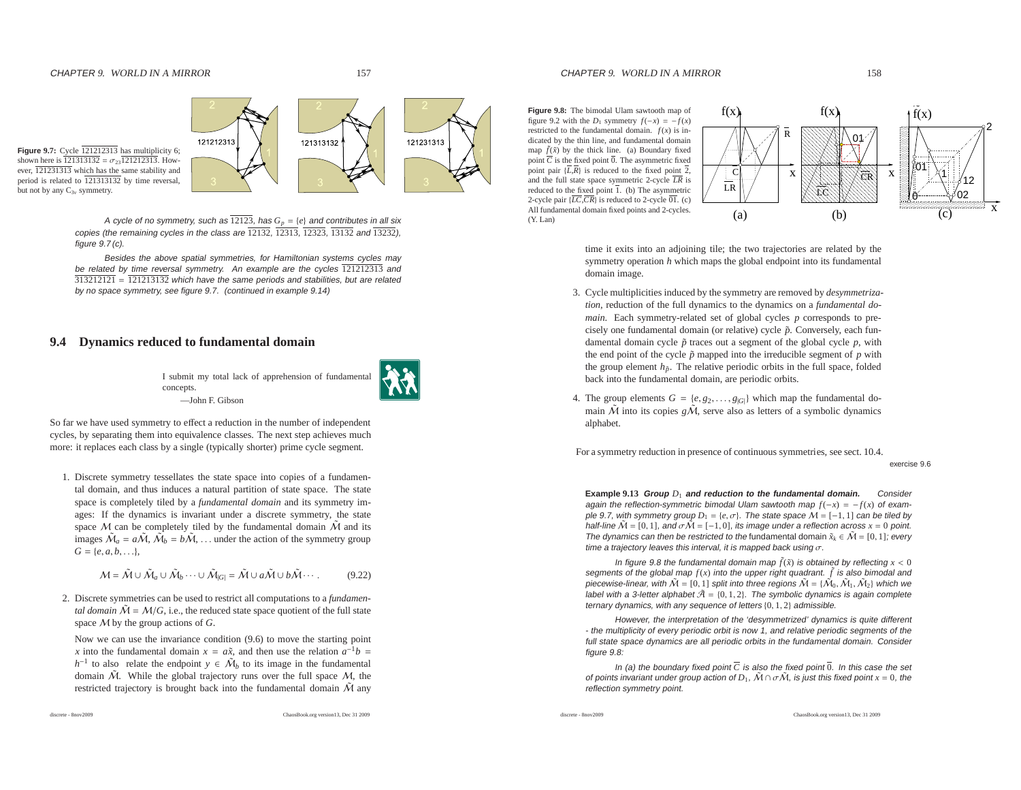121313132

**Figure 9.7:** Cycle <sup>121212313</sup> has multiplicity 6; shown here is 121313132 =  $\sigma_{23}$ 121212313. However, 121231313 which has the same stability and period is related to <sup>121313132</sup> by time reversal, but not by any  $C_{3\nu}$  symmetry.

> A cycle of no symmetry, such as  $12123$ , has  $G_p = \{e\}$  and contributes in all six copies (the remaining cycles in the class are <sup>12132</sup>, <sup>12313</sup>, <sup>12323</sup>, <sup>13132</sup> and <sup>13232</sup>), figure 9.7 (c).

121212313

Besides the above spatial symmetries, for Hamiltonian systems cycles maybe related by time reversal symmetry. An example are the cycles 121212313 and 313212121 <sup>=</sup> <sup>121213132</sup> which have the same periods and stabilities, but are related by no space symmetry, see figure 9.7. (continued in example 9.14)

# **9.4 Dynamics reduced to fundamental domain**

I submit my total lack of apprehension of fundamentalconcepts.—John F. Gibson

So far we have used symmetry to <sup>e</sup>ffect <sup>a</sup> reduction in the number of independent cycles, by separating them into equivalence classes. The next step achieves muchmore: it replaces each class by <sup>a</sup> single (typically shorter) prime cycle segment.

1. Discrete symmetry tessellates the state space into copies of <sup>a</sup> fundamental domain, and thus induces <sup>a</sup> natural partition of state space. The state space is completely tiled by <sup>a</sup> *fundamental domain* and its symmetry images: If the dynamics is invariant under <sup>a</sup> discrete symmetry, the statespace M can be completely tiled by the fundamental domain  $\tilde{M}$  and its images  $\tilde{M} = a\tilde{M} \tilde{M} - b\tilde{M}$  under the action of the symmetry group images  $\tilde{M}_a = a\tilde{M}$ ,  $\tilde{M}_b = b\tilde{M}$ , ... under the action of the symmetry group  $G = \{e, a, b, \ldots\},\,$ 

$$
\mathcal{M} = \tilde{\mathcal{M}} \cup \tilde{\mathcal{M}}_a \cup \tilde{\mathcal{M}}_b \cdots \cup \tilde{\mathcal{M}}_{|G|} = \tilde{\mathcal{M}} \cup a\tilde{\mathcal{M}} \cup b\tilde{\mathcal{M}} \cdots. \tag{9.22}
$$

2. Discrete symmetries can be used to restrict all computations to <sup>a</sup> *fundamental domain*  $\tilde{M} = M/G$ , i.e., the reduced state space quotient of the full state space <sup>M</sup> by the group actions of *<sup>G</sup>*.

Now we can use the invariance condition (9.6) to move the starting point*x* into the fundamental domain  $x = a\tilde{x}$ , and then use the relation  $a^{-1}b =$ *h*<sup>−1</sup> to also relate the endpoint *y* ∈  $\tilde{M}_b$  to its image in the fundamental domain  $\tilde{M}$ . While the global trajectory runs over the full space  $M$ , the restricted trajectory is brought back into the fundamental domain  $\tilde{M}$  any

**Figure 9.8:** The bimodal Ulam sawtooth map of figure 9.2 with the *D*<sub>1</sub> symmetry  $f(-x) = -f(x)$ restricted to the fundamental domain.  $f(x)$  is indicated by the thin line, and fundamental domainmap  $\tilde{f}(\tilde{x})$  by the thick line. (a) Boundary fixed point  $\overline{C}$  is the fixed point  $\overline{0}$ . The asymmetric fixed point pair {*L*,*R*} is reduced to the fixed point 2, and the full state space symmetric 2-cycle *LR* is reduced to the fixed point 1. (b) The asymmetric 2-cycle pair {*LC*,*CR*} is reduced to 2-cycle 01. (c) All fundamental domain fixed points and 2-cycles. (Y. Lan)



time it exits into an adjoining tile; the two trajectories are related by the symmetry operation *<sup>h</sup>* which maps the <sup>g</sup>lobal endpoint into its fundamental domain image.

- 3. Cycle multiplicities induced by the symmetry are removed by *desymmetrization*, reduction of the full dynamics to the dynamics on <sup>a</sup> *fundamental domain*. Each symmetry-related set of global cycles *p* corresponds to precisely one fundamental domain (or relative) cycle  $\tilde{p}$ . Conversely, each fundamental domain cycle  $\tilde{p}$  traces out a segment of the global cycle  $p$ , with the end point of the cycle  $\tilde{p}$  mapped into the irreducible segment of  $p$  with the group element  $h_{\tilde{p}}$ . The relative periodic orbits in the full space, folded back into the fundamental domain, are periodic orbits.
- 4. The group elements  $G = \{e, g_2, \ldots, g_{|G|}\}$  which map the fundamental do-<br>main  $\tilde{M}$  into its copies  $g\tilde{M}$  serve also as letters of a symbolic dynamics main  $\tilde{M}$  into its copies  $g\tilde{M}$ , serve also as letters of a symbolic dynamics alphabet.

For <sup>a</sup> symmetry reduction in presence of continuous symmetries, see sect. 10.4.

exercise 9.6

**Example 9.13 Group** *<sup>D</sup>*<sup>1</sup> **and reduction to the fundamental domain.** Consider again the reflection-symmetric bimodal Ulam sawtooth map *f*(−*<sup>x</sup>*) <sup>=</sup> <sup>−</sup>*f*(*x*) of example 9.7, with symmetry group *<sup>D</sup>*<sup>1</sup> <sup>=</sup> {*<sup>e</sup>*, <sup>σ</sup>}. The state space <sup>M</sup>ple 9.7, with symmetry group  $D_1 = \{e, \sigma\}$ . The state space  $M = [-1, 1]$  can be tiled by half-line  $\tilde{M} = [0, 1]$ , and  $\sigma \tilde{M} = [-1, 0]$ , its image under a reflection across  $x = 0$  point. The dynamics can then be restricted to the fundamental domain  $\tilde{x}_k \in \tilde{\mathcal{M}} = [0, 1]$ ; every time a trajectory leaves this interval, it is mapped back using  $\sigma.$ 

In figure 9.8 the fundamental domain map  $\tilde{f}(\tilde{x})$  is obtained by reflecting  $x < 0$  segments of the global map *f*(*x*) into the upper right quadrant. ˜ *f* is also bimodal andpiecewise-linear, with  $\tilde{\mathcal{M}} = [0, 1]$  split into three regions  $\tilde{\mathcal{M}} = {\{\tilde{\mathcal{M}}_0, \tilde{\mathcal{M}}_1, \tilde{\mathcal{M}}_2\}}$  which we label with a 3-letter alphabet  $\tilde{\mathcal{A}} = \{0, 1, 2\}$ . The symbolic dynamics is again complete ternary dynamics, with any sequence of letters {0, <sup>1</sup>, <sup>2</sup>} admissible.

However, the interpretation of the 'desymmetrized' dynamics is quite different - the multiplicity of every periodic orbit is now 1, and relative periodic segments of the full state space dynamics are all periodic orbits in the fundamental domain. Considerfigure 9.8:

In (a) the boundary fixed point *C* is also the fixed point <sup>0</sup>. In this case the set of points invariant under group action of  $D_1$ ,  $\tilde{M} \cap \sigma \tilde{M}$ , is just this fixed point  $x = 0$ , the reflection symmetry point.

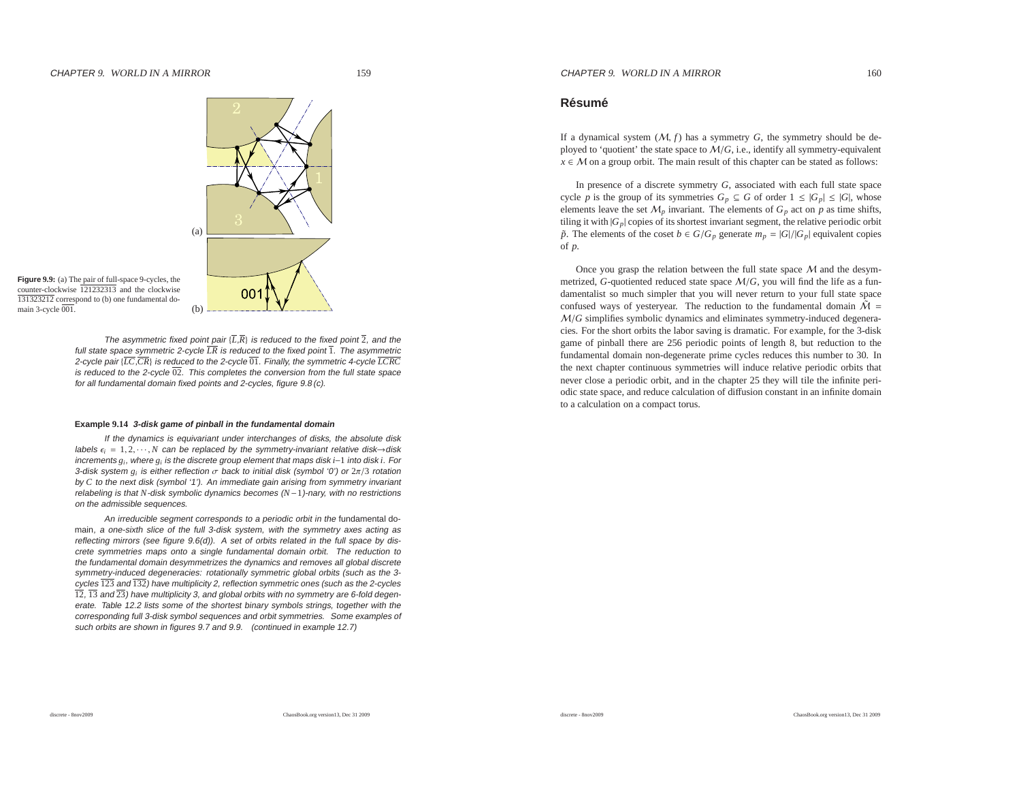

**Figure 9.9:** (a) The pair of full-space 9-cycles, the counter-clockwise <sup>121232313</sup> and the clockwise 131323212 correspond to (b) one fundamental domain 3-cycle 001.

> The asymmetric fixed point pair {*L*,R} is reduced to the fixed point 2, and the full state space symmetric 2-cycle *LR* is reduced to the fixed point <sup>1</sup>. The asymmetric 2-cycle pair {*LC*,*CR*} is reduced to the 2-cycle <sup>01</sup>. Finally, the symmetric 4-cycle *LCRC* is reduced to the 2-cycle <sup>02</sup>. This completes the conversion from the full state space for all fundamental domain fixed points and 2-cycles, figure 9.8 (c).

# **Example 9.14 3-disk game of pinball in the fundamental domain**

If the dynamics is equivariant under interchanges of disks, the absolute disklabels  $\epsilon_i = 1, 2, \cdots, N$  can be replaced by the symmetry-invariant relative disk $\rightarrow$ disk increments *<sup>g</sup>i*, where *<sup>g</sup><sup>i</sup>* is the discrete group element that maps disk *<sup>i</sup>*−<sup>1</sup> into disk *<sup>i</sup>*. For 3-disk system *<sup>g</sup><sup>i</sup>* is either reflection <sup>σ</sup> back to initial disk (symbol '0') or <sup>2</sup>π/<sup>3</sup> rotation by *<sup>C</sup>* to the next disk (symbol '1'). An immediate gain arising from symmetry invariant relabeling is that *<sup>N</sup>*-disk symbolic dynamics becomes (*N*−1)-nary, with no restrictionson the admissible sequences.

An irreducible segment corresponds to <sup>a</sup> periodic orbit in the fundamental domain, <sup>a</sup> one-sixth slice of the full 3-disk system, with the symmetry axes acting as reflecting mirrors (see figure 9.6(d)). A set of orbits related in the full space by discrete symmetries maps onto <sup>a</sup> single fundamental domain orbit. The reduction to the fundamental domain desymmetrizes the dynamics and removes all global discrete symmetry-induced degeneracies: rotationally symmetric global orbits (such as the 3cycles 123 and 132) have multiplicity 2, reflection symmetric ones (such as the 2-cycles 12, 13 and <sup>23</sup>) have multiplicity 3, and global orbits with no symmetry are 6-fold degenerate. Table 12.2 lists some of the shortest binary symbols strings, together with the corresponding full 3-disk symbol sequences and orbit symmetries. Some examples of such orbits are shown in figures 9.7 and 9.9. (continued in example 12.7)

# CHAPTER 9. WORLD IN A MIRROR 160

# **Resum ´ e´**

If <sup>a</sup> dynamical system (M, *f*) has <sup>a</sup> symmetry *<sup>G</sup>*, the symmetry should be deployed to 'quotient' the state space to <sup>M</sup>/*G*, i.e., identify all symmetry-equivalent  $x \in M$  on a group orbit. The main result of this chapter can be stated as follows:

In presence of <sup>a</sup> discrete symmetry *<sup>G</sup>*, associated with each full state space cycle *p* is the group of its symmetries  $G_p \subseteq G$  of order  $1 \le |G_p| \le |G|$ , whose elements leave the set  $M_p$  invariant. The elements of  $G_p$  act on  $p$  as time shifts, tiling it with  $|G_p|$  copies of its shortest invariant segment, the relative periodic orbit *p*⁄. The elements of the coset  $b \in G/G_p$  generate  $m_p = |G|/|G_p|$  equivalent copies of *p*.

Once you grasp the relation between the full state space <sup>M</sup>Once you grasp the relation between the full state space  $M$  and the desymmetrized,  $G$ -quotiented reduced state space  $M/G$ , you will find the life as a fundamentalist so much simpler that you will never return to your full state spaceconfused ways of yesteryear. The reduction to the fundamental domain  $\tilde{M}$  = M/*G* simplifies symbolic dynamics and eliminates symmetry-induced degeneracies. For the short orbits the labor saving is dramatic. For example, for the 3-disk game of pinball there are 256 periodic points of length 8, but reduction to the fundamental domain non-degenerate prime cycles reduces this number to 30. In the next chapter continuous symmetries will induce relative periodic orbits that never close <sup>a</sup> periodic orbit, and in the chapter 25 they will tile the infinite periodic state space, and reduce calculation of diffusion constant in an infinite domainto <sup>a</sup> calculation on <sup>a</sup> compac<sup>t</sup> torus.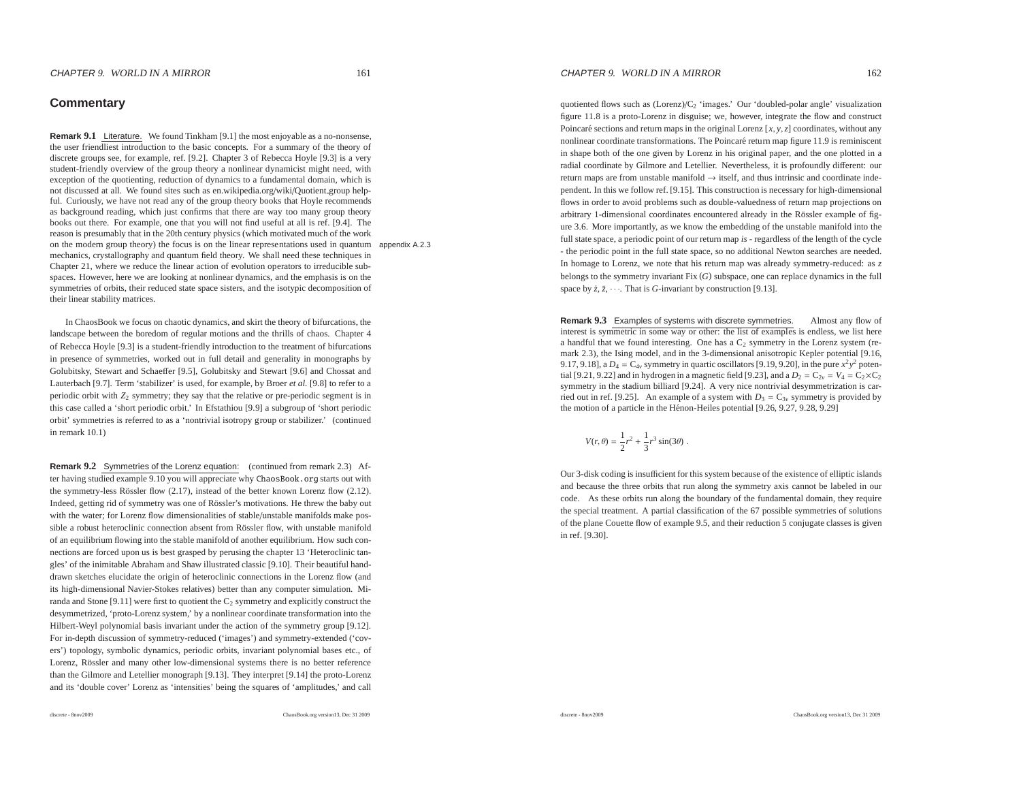# **Commentary**

**Remark 9.1** Literature. We found Tinkham [9.1] the most enjoyable as <sup>a</sup> no-nonsense, the user friendliest introduction to the basic concepts. For <sup>a</sup> summary of the theory of discrete groups see, for example, ref. [9.2]. Chapter 3 of Rebecca Hoyle [9.3] is <sup>a</sup> very student-friendly overview of the group theory <sup>a</sup> nonlinear dynamicist might need, with exception of the quotienting, reduction of dynamics to <sup>a</sup> fundamental domain, which is not discussed at all. We found sites such as en.wikipedia.org/wiki/Quotient group helpful. Curiously, we have not read any of the group theory books that Hoyle recommends as background reading, which just confirms that there are way too many group theory books out there. For example, one that you will not find useful at all is ref. [9.4]. The reason is presumably that in the 20th century physics (which motivated much of the work on the modern group theory) the focus is on the linear representations used in quantum appendix A.2.3 mechanics, crystallography and quantum field theory. We shall need these techniques in Chapter 21, where we reduce the linear action of evolution operators to irreducible subspaces. However, here we are looking at nonlinear dynamics, and the emphasis is on the symmetries of orbits, their reduced state space sisters, and the isotypic decomposition oftheir linear stability matrices.

In ChaosBook we focus on chaotic dynamics, and skirt the theory of bifurcations, the landscape between the boredom of regular motions and the thrills of chaos. Chapter 4 of Rebecca Hoyle [9.3] is <sup>a</sup> student-friendly introduction to the treatment of bifurcations in presence of symmetries, worked out in full detail and generality in monographs by Golubitsky, Stewart and Schaeffer [9.5], Golubitsky and Stewart [9.6] and Chossat and Lauterbach [9.7]. Term 'stabilizer' is used, for example, by Broer *et al.* [9.8] to refer to <sup>a</sup> periodic orbit with *<sup>Z</sup>*<sup>2</sup> symmetry; they say that the relative or pre-periodic segmen<sup>t</sup> is in this case called <sup>a</sup> 'short periodic orbit.' In Efstathiou [9.9] <sup>a</sup> subgroup of 'short periodic orbit' symmetries is referred to as <sup>a</sup> 'nontrivial isotropy group or stabilizer.' (continuedin remark 10.1)

**Remark 9.2** Symmetries of the Lorenz equation: (continued from remark 2.3) After having studied example 9.10 you will appreciate why ChaosBook.org starts out with the symmetry-less Rössler flow (2.17), instead of the better known Lorenz flow (2.12). Indeed, getting rid of symmetry was one of Rössler's motivations. He threw the baby out with the water; for Lorenz flow dimensionalities of stable/unstable manifolds make possible a robust heteroclinic connection absent from Rössler flow, with unstable manifold of an equilibrium flowing into the stable manifold of another equilibrium. How such connections are forced upon us is best grasped by perusing the chapter 13 'Heteroclinic tangles' of the inimitable Abraham and Shaw illustrated classic [9.10]. Their beautiful handdrawn sketches elucidate the origin of heteroclinic connections in the Lorenz flow (and its high-dimensional Navier-Stokes relatives) better than any computer simulation. Miranda and Stone [9.11] were first to quotient the  $C_2$  symmetry and explicitly construct the desymmetrized, 'proto-Lorenz system,' by <sup>a</sup> nonlinear coordinate transformation into the Hilbert-Weyl polynomial basis invariant under the action of the symmetry group [9.12]. For in-depth discussion of symmetry-reduced ('images') and symmetry-extended ('covers') topology, symbolic dynamics, periodic orbits, invariant polynomial bases etc., ofLorenz, Rössler and many other low-dimensional systems there is no better reference than the Gilmore and Letellier monograph [9.13]. They interpret [9.14] the proto-Lorenzand its 'double cover' Lorenz as 'intensities' being the squares of 'amplitudes,' and call

quotiented flows such as  $(Lorenz)/C_2$  'images.' Our 'doubled-polar angle' visualization figure 11.8 is <sup>a</sup> proto-Lorenz in disguise; we, however, integrate the flow and constructPoincaré sections and return maps in the original Lorenz  $[x, y, z]$  coordinates, without any nonlinear coordinate transformations. The Poincaré return map figure 11.9 is reminiscent in shape both of the one given by Lorenz in his original paper, and the one plotted in <sup>a</sup> radial coordinate by Gilmore and Letellier. Nevertheless, it is profoundly different: ourreturn maps are from unstable manifold  $\rightarrow$  itself, and thus intrinsic and coordinate inde-<br>needest Inthiana followed 10.151. This construction is a correspondential, dimensional pendent. In this we follow ref. [9.15]. This construction is necessary for high-dimensional flows in order to avoid problems such as double-valuedness of return map projections onarbitrary 1-dimensional coordinates encountered already in the Rössler example of figure 3.6. More importantly, as we know the embedding of the unstable manifold into the full state space, <sup>a</sup> periodic point of our return map *is* - regardless of the length of the cycle - the periodic point in the full state space, so no additional Newton searches are needed. In homage to Lorenz, we note that his return map was already symmetry-reduced: as *<sup>z</sup>* belongs to the symmetry invariant Fix (*G*) subspace, one can replace dynamics in the full space by  $\dot{z}$ ,  $\ddot{z}$ ,  $\cdots$ . That is *G*-invariant by construction [9.13].

**Remark 9.3** Examples of systems with discrete symmetries. Almost any flow of interest is symmetric in some way or other: the list of examples is endless, we list herea handful that we found interesting. One has a  $C_2$  symmetry in the Lorenz system (remark 2.3), the Ising model, and in the 3-dimensional anisotropic Kepler potential [9.16, 9.17, 9.18], a  $D_4 = C_{4v}$  symmetry in quartic oscillators [9.19, 9.20], in the pure  $x^2y^2$  potential [9.21, 9.22] and in hydrogen in a magnetic field [9.23], and a  $D_2 = C_{2\nu} = V_4 = C_2 \times C_2$ symmetry in the stadium billiard [9.24]. A very nice nontrivial desymmetrization is carried out in ref. [9.25]. An example of a system with  $D_3 = C_{3\nu}$  symmetry is provided by the motion of a particle in the Hénon-Heiles potential [9.26, 9.27, 9.28, 9.29]

$$
V(r,\theta) = \frac{1}{2}r^2 + \frac{1}{3}r^3\sin(3\theta).
$$

Our 3-disk coding is insufficient for this system because of the existence of elliptic islandsand because the three orbits that run along the symmetry axis cannot be labeled in our code. As these orbits run along the boundary of the fundamental domain, they require the special treatment. A partial classification of the 67 possible symmetries of solutionsof the plane Couette flow of example 9.5, and their reduction 5 conjugate classes is <sup>g</sup>iven in ref. [9.30].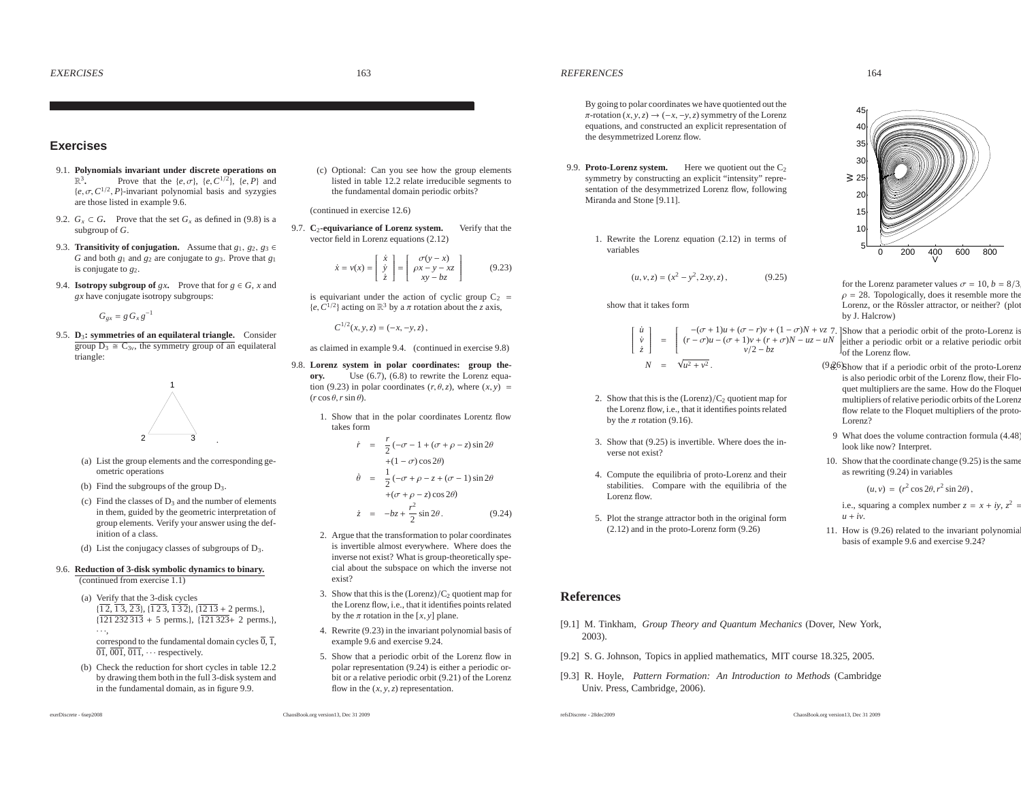$163$ 

(continued in exercise 12.6)

 $\dot{x} = v(x) = \begin{bmatrix} \dot{x} \\ \dot{y} \\ \dot{z} \end{bmatrix}$  $\mathsf{l}$  $\Big] =$ I

**ory.**

 $(r \cos \theta, r \sin \theta).$ 

takes form *r*˙ <sup>=</sup> *r* 2

> $\dot{\theta}$  =  $\frac{1}{2}$

 $C^{1/2}(x, y, z) = (-x, -y, z)$ ,

(c) Optional: Can you see how the group elements listed in table 12.2 relate irreducible segments tothe fundamental domain periodic orbits?

9.7. **C**2**-equivariance of Lorenz system.** Verify that thevector field in Lorenz equations (2.12)

is equivariant under the action of cyclic group  $C_2$  =  $\{e, C^{1/2}\}\$ acting on  $\mathbb{R}^3$  by a  $\pi$  rotation about the *z* axis,

as claimed in example 9.4. (continued in exercise 9.8)9.8. **Lorenz system in polar coordinates: group the-**

1. Show that in the polar coordinates Lorentz flow

 $+(1 - \sigma)\cos 2\theta$ 

 $+(\sigma + \rho - z)\cos 2\theta$  $\dot{z} = -bz + \frac{r^2}{2} \sin 2\theta$  . (9.24)

2. Argue that the transformation to polar coordinates is invertible almost everywhere. Where does the inverse not exist? What is group-theoretically special about the subspace on which the inverse not

3. Show that this is the  $(Lorenz)/C_2$  quotient map for the Lorenz flow, i.e., that it identifies points related

5. Show that <sup>a</sup> periodic orbit of the Lorenz flow in polar representation (9.24) is either <sup>a</sup> periodic orbit or <sup>a</sup> relative periodic orbit (9.21) of the Lorenz

by the  $\pi$  rotation in the [ $x$ ,  $y$ ] plane. 4. Rewrite (9.23) in the invariant polynomial basis of

example 9.6 and exercise 9.24.

flow in the  $(x, y, z)$  representation.

 $\begin{cases}\n\sigma(y-x) \\
\rho x - y - xz \\
xy - bz\n\end{cases}$  $\overline{\phantom{a}}$ 

Use  $(6.7)$ ,  $(6.8)$  to rewrite the Lorenz equation (9.23) in polar coordinates  $(r, \theta, z)$ , where  $(x, y)$  =

(−<sup>σ</sup> <sup>−</sup> <sup>1</sup> <sup>+</sup> (<sup>σ</sup> <sup>+</sup> <sup>ρ</sup> <sup>−</sup> *<sup>z</sup>*) sin <sup>2</sup><sup>θ</sup>

 $(-\sigma + \rho - z + (\sigma - 1) \sin 2\theta)$ 

(9.23)

### **REFERENCES**

By going to polar coordinates we have quotiented out the $\pi$ -rotation  $(x, y, z) \rightarrow (-x, -y, z)$  symmetry of the Lorenz<br>equations and constructed an explicit representation of equations, and constructed an explicit representation ofthe desymmetrized Lorenz flow.

- 9.9. **Proto-Lorenz system.** Here we quotient out the C<sub>2</sub> symmetry by constructing an explicit "intensity" representation of the desymmetrized Lorenz flow, followingMiranda and Stone [9.11].
	- 1. Rewrite the Lorenz equation (2.12) in terms ofvariables

$$
(u, v, z) = (x2 - y2, 2xy, z),
$$
 (9.25)

show that it takes form

$$
\begin{bmatrix}\n\dot{u} \\
\dot{v} \\
\dot{z}\n\end{bmatrix} = \begin{bmatrix}\n-(\sigma + 1)u + (\sigma - r)v + (1 - \sigma)N + vz 7. \text{ [Shc]}\n\\
(r - \sigma)u - (\sigma + 1)v + (r + \sigma)N - uz - uN\n\end{bmatrix}\n\begin{bmatrix}\n\dot{u} \\
\text{e} \\
\text{tr}\n\end{bmatrix}
$$
\n
$$
N = \sqrt{u^2 + v^2}.
$$
\n(9.868b)

- for<br>ated the Lorenz flow, i.e., that it identifies points relatedby the $e \pi$ ation (9.
- 3. Show that (9.25) is invertible. Where does the inverse not exist?
- stabilities. Compare with the equilibria of theLorenz flow.
- (2.12) and in the proto-Lorenz form (9.26)

# $\Omega$  <sup>200</sup> <sup>400</sup> <sup>600</sup> <sup>800</sup> 5101520 $\geq 25$ 30354045 $\mathcal{U}$

for the Lorenz parameter values  $\sigma = 10, b = 8/3$ ,  $\rho = 28$ . Topologically, does it resemble more the Lorenz, or the Rössler attractor, or neither? (plot by J. Halcrow)

+ 
$$
vz
$$
 7. [Show that a periodic orbit of the proto-Lorenz is  
either a periodic orbit or a relative periodic orbit  
of the Lorenz flow.

8. Show that if <sup>a</sup> periodic orbit of the proto-Lorenzis also periodic orbit of the Lorenz flow, their Floque<sup>t</sup> multipliers are the same. How do the Floquetmultipliers of relative periodic orbits of the Lorenzflow relate to the Floquet multipliers of the proto-Lorenz?

9 What does the volume contraction formula (4.48)look like now? Interpret.

10. Show that the coordinate change (9.25) is the sameas rewriting (9.24) in variables

 $(u, v) = (r^2 \cos 2\theta, r^2 \sin 2\theta),$ 

i.e., squaring a complex number  $z = x + iy$ ,  $z^2 =$ *u* <sup>+</sup> *iv*.

11. How is (9.26) related to the invariant polynomialbasis of example 9.6 and exercise 9.24?

# **Exercises**

- 9.1. **Polynomials invariant under discrete operations on**Prove that the  $\{e, \sigma\}$ ,  $\{e, C^{1/2}\}$ ,  $\{e, P\}$  and R3**.** $[$ <sup>*R*</sup> $\cdot$  *C*<sup>1/2</sup>, *P*<sub>1</sub>-invariant polynomial basis and syzygies are those listed in example 9.6 are those listed in example 9.6.
- 9.2.  $G_x \subset G$ . Prove that the set  $G_x$  as defined in (9.8) is a subgroup of*G*.
- 9.3. **Transitivity of conjugation.** Assume that  $g_1, g_2, g_3 \in$ *G* and both  $g_1$  and  $g_2$  are conjugate to  $g_3$ . Prove that  $g_1$ is conjugate to *<sup>g</sup>*2.
- 9.4. **Isotropy subgroup of**  $gx$ . Prove that for  $g \in G$ ,  $x$  and *gx* have conjugate isotropy subgroups:

$$
G_{gx} = g G_x g^{-1}
$$

9.5.**D**3**: symmetries of an equilateral triangle.** Considergroup  $D_3 \cong C_{3v}$ , the symmetry group of an equilateral triangle:



- (a) List the group elements and the corresponding geometric operations
- (b) Find the subgroups of the group  $D_3$ .
- (c) Find the classes of  $D_3$  and the number of elements in them, guided by the geometric interpretation of group elements. Verify your answer using the definition of <sup>a</sup> class.
- (d) List the conjugacy classes of subgroups of  $D_3$ .

### 9.6. **Reduction of 3-disk symbolic dynamics to binary.**

(continued from exercise 1.1)

exerDiscrete - 6sep2008

(a) Verify that the 3-disk cycles $\{\overline{12}, \overline{13}, \overline{23}\}, \{\overline{123}, \overline{132}\}, \{\overline{1213} + 2 \text{ perms.}\},\$ {121 232 313 <sup>+</sup> <sup>5</sup> perms.}, {<sup>121</sup> <sup>323</sup><sup>+</sup> <sup>2</sup> perms.},

 $\frac{\text{correspond to the fundamental domain cycles}}{0, 1}$  $01, 001, 011, \cdots$  respectively.

(b) Check the reduction for short cycles in table 12.2 by drawing them both in the full 3-disk system andin the fundamental domain, as in figure 9.9.

ChaosBook.org version13, Dec <sup>31</sup> <sup>2009</sup>

exist?

[9.1] M. Tinkham, *Group Theory and Quantum Mechanics* (Dover, New York, 2003).

- [9.2] S. G. Johnson, Topics in applied mathematics, MIT course 18.325, 2005.
- [9.3] R. Hoyle, *Pattern Formation: An Introduction to Methods* (CambridgeUniv. Press, Cambridge, 2006).

refsDiscrete - 28dec2009

**References**

ChaosBook.org version13, Dec <sup>31</sup> <sup>2009</sup>

# $164$



$$
N = \sqrt{u^2 + v^2}.
$$
 (9.86)

2. Show that this is the (Lorenz)/
$$
C_2
$$
 quotient map the Lorenz flow, i.e., that it identifies points real by the  $\pi$  rotation (9.16).

- 4. Compute the equilibria of proto-Lorenz and their
- 5. Plot the strange attractor both in the original form